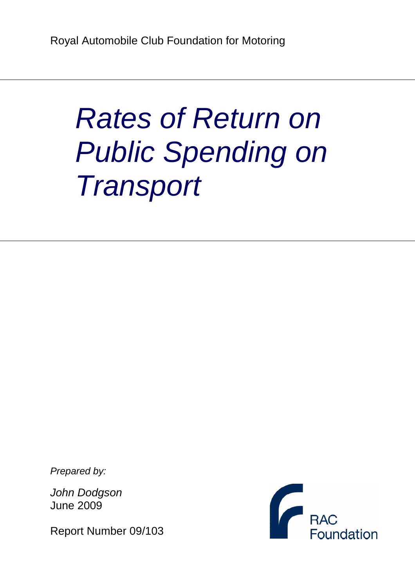# Rates of Return on Public Spending on **Transport**

Prepared by:

John Dodgson June 2009

Report Number 09/103

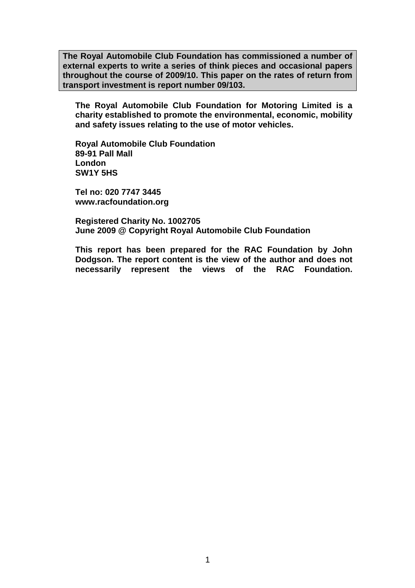**The Royal Automobile Club Foundation has commissioned a number of external experts to write a series of think pieces and occasional papers throughout the course of 2009/10. This paper on the rates of return from transport investment is report number 09/103.** 

**The Royal Automobile Club Foundation for Motoring Limited is a charity established to promote the environmental, economic, mobility and safety issues relating to the use of motor vehicles.** 

**Royal Automobile Club Foundation 89-91 Pall Mall London SW1Y 5HS** 

**Tel no: 020 7747 3445 www.racfoundation.org** 

**Registered Charity No. 1002705 June 2009 @ Copyright Royal Automobile Club Foundation** 

**This report has been prepared for the RAC Foundation by John Dodgson. The report content is the view of the author and does not necessarily represent the views of the RAC Foundation.**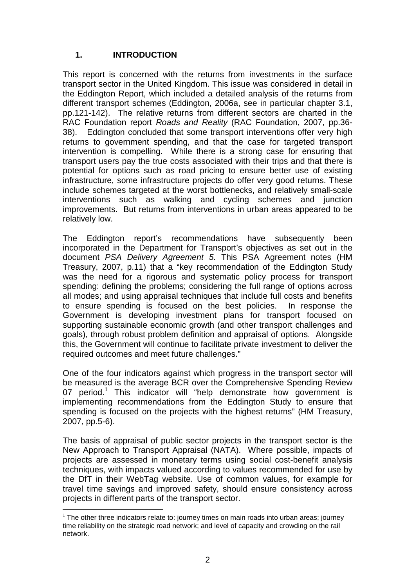# **1. INTRODUCTION**

This report is concerned with the returns from investments in the surface transport sector in the United Kingdom. This issue was considered in detail in the Eddington Report, which included a detailed analysis of the returns from different transport schemes (Eddington, 2006a, see in particular chapter 3.1, pp.121-142). The relative returns from different sectors are charted in the RAC Foundation report Roads and Reality (RAC Foundation, 2007, pp.36- 38). Eddington concluded that some transport interventions offer very high returns to government spending, and that the case for targeted transport intervention is compelling. While there is a strong case for ensuring that transport users pay the true costs associated with their trips and that there is potential for options such as road pricing to ensure better use of existing infrastructure, some infrastructure projects do offer very good returns. These include schemes targeted at the worst bottlenecks, and relatively small-scale interventions such as walking and cycling schemes and junction improvements. But returns from interventions in urban areas appeared to be relatively low.

The Eddington report's recommendations have subsequently been incorporated in the Department for Transport's objectives as set out in the document PSA Delivery Agreement 5. This PSA Agreement notes (HM Treasury, 2007, p.11) that a "key recommendation of the Eddington Study was the need for a rigorous and systematic policy process for transport spending: defining the problems; considering the full range of options across all modes; and using appraisal techniques that include full costs and benefits to ensure spending is focused on the best policies. In response the Government is developing investment plans for transport focused on supporting sustainable economic growth (and other transport challenges and goals), through robust problem definition and appraisal of options. Alongside this, the Government will continue to facilitate private investment to deliver the required outcomes and meet future challenges."

One of the four indicators against which progress in the transport sector will be measured is the average BCR over the Comprehensive Spending Review 07 period.<sup>1</sup> This indicator will "help demonstrate how government is implementing recommendations from the Eddington Study to ensure that spending is focused on the projects with the highest returns" (HM Treasury, 2007, pp.5-6).

The basis of appraisal of public sector projects in the transport sector is the New Approach to Transport Appraisal (NATA). Where possible, impacts of projects are assessed in monetary terms using social cost-benefit analysis techniques, with impacts valued according to values recommended for use by the DfT in their WebTag website. Use of common values, for example for travel time savings and improved safety, should ensure consistency across projects in different parts of the transport sector.

 $\overline{a}$  $1$  The other three indicators relate to: journey times on main roads into urban areas; journey time reliability on the strategic road network; and level of capacity and crowding on the rail network.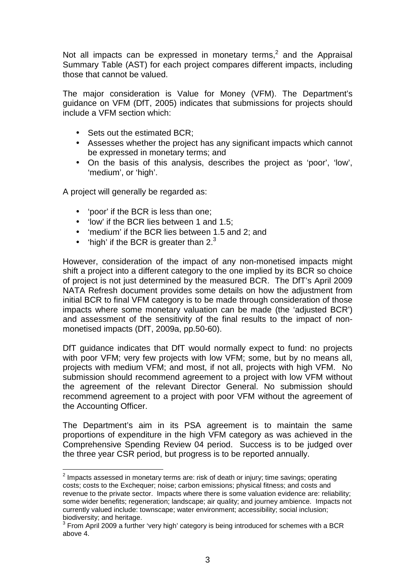Not all impacts can be expressed in monetary terms,<sup>2</sup> and the Appraisal Summary Table (AST) for each project compares different impacts, including those that cannot be valued.

The major consideration is Value for Money (VFM). The Department's guidance on VFM (DfT, 2005) indicates that submissions for projects should include a VFM section which:

- Sets out the estimated BCR:
- Assesses whether the project has any significant impacts which cannot be expressed in monetary terms; and
- On the basis of this analysis, describes the project as 'poor', 'low', 'medium', or 'high'.

A project will generally be regarded as:

 $\overline{a}$ 

- 'poor' if the BCR is less than one;
- 'low' if the BCR lies between 1 and 1.5:
- 'medium' if the BCR lies between 1.5 and 2; and
- 'high' if the BCR is greater than  $2<sup>3</sup>$

However, consideration of the impact of any non-monetised impacts might shift a project into a different category to the one implied by its BCR so choice of project is not just determined by the measured BCR. The DfT's April 2009 NATA Refresh document provides some details on how the adjustment from initial BCR to final VFM category is to be made through consideration of those impacts where some monetary valuation can be made (the 'adjusted BCR') and assessment of the sensitivity of the final results to the impact of nonmonetised impacts (DfT, 2009a, pp.50-60).

DfT guidance indicates that DfT would normally expect to fund: no projects with poor VFM; very few projects with low VFM; some, but by no means all, projects with medium VFM; and most, if not all, projects with high VFM. No submission should recommend agreement to a project with low VFM without the agreement of the relevant Director General. No submission should recommend agreement to a project with poor VFM without the agreement of the Accounting Officer.

The Department's aim in its PSA agreement is to maintain the same proportions of expenditure in the high VFM category as was achieved in the Comprehensive Spending Review 04 period. Success is to be judged over the three year CSR period, but progress is to be reported annually.

 $2$  Impacts assessed in monetary terms are: risk of death or injury; time savings; operating costs; costs to the Exchequer; noise; carbon emissions; physical fitness; and costs and revenue to the private sector. Impacts where there is some valuation evidence are: reliability; some wider benefits; regeneration; landscape; air quality; and journey ambience. Impacts not currently valued include: townscape; water environment; accessibility; social inclusion; biodiversity; and heritage.

 $3$  From April 2009 a further 'very high' category is being introduced for schemes with a BCR above 4.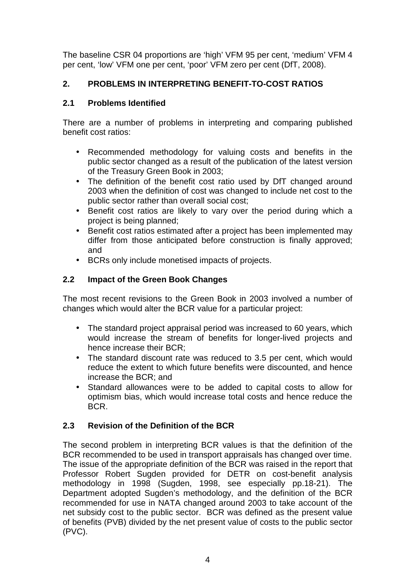The baseline CSR 04 proportions are 'high' VFM 95 per cent, 'medium' VFM 4 per cent, 'low' VFM one per cent, 'poor' VFM zero per cent (DfT, 2008).

# **2. PROBLEMS IN INTERPRETING BENEFIT-TO-COST RATIOS**

# **2.1 Problems Identified**

There are a number of problems in interpreting and comparing published benefit cost ratios:

- Recommended methodology for valuing costs and benefits in the public sector changed as a result of the publication of the latest version of the Treasury Green Book in 2003;
- The definition of the benefit cost ratio used by DfT changed around 2003 when the definition of cost was changed to include net cost to the public sector rather than overall social cost;
- Benefit cost ratios are likely to vary over the period during which a project is being planned;
- Benefit cost ratios estimated after a project has been implemented may differ from those anticipated before construction is finally approved; and
- BCRs only include monetised impacts of projects.

# **2.2 Impact of the Green Book Changes**

The most recent revisions to the Green Book in 2003 involved a number of changes which would alter the BCR value for a particular project:

- The standard project appraisal period was increased to 60 years, which would increase the stream of benefits for longer-lived projects and hence increase their BCR;
- The standard discount rate was reduced to 3.5 per cent, which would reduce the extent to which future benefits were discounted, and hence increase the BCR; and
- Standard allowances were to be added to capital costs to allow for optimism bias, which would increase total costs and hence reduce the BCR.

# **2.3 Revision of the Definition of the BCR**

The second problem in interpreting BCR values is that the definition of the BCR recommended to be used in transport appraisals has changed over time. The issue of the appropriate definition of the BCR was raised in the report that Professor Robert Sugden provided for DETR on cost-benefit analysis methodology in 1998 (Sugden, 1998, see especially pp.18-21). The Department adopted Sugden's methodology, and the definition of the BCR recommended for use in NATA changed around 2003 to take account of the net subsidy cost to the public sector. BCR was defined as the present value of benefits (PVB) divided by the net present value of costs to the public sector (PVC).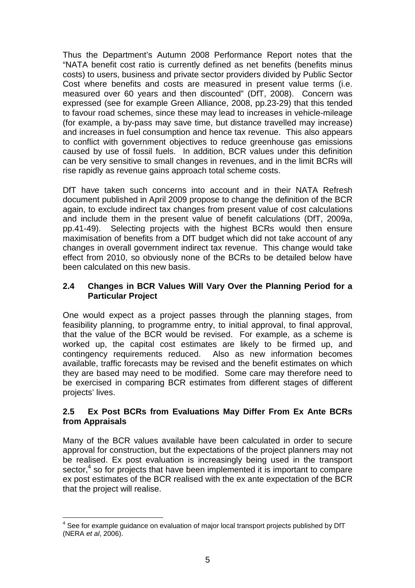Thus the Department's Autumn 2008 Performance Report notes that the "NATA benefit cost ratio is currently defined as net benefits (benefits minus costs) to users, business and private sector providers divided by Public Sector Cost where benefits and costs are measured in present value terms (i.e. measured over 60 years and then discounted" (DfT, 2008). Concern was expressed (see for example Green Alliance, 2008, pp.23-29) that this tended to favour road schemes, since these may lead to increases in vehicle-mileage (for example, a by-pass may save time, but distance travelled may increase) and increases in fuel consumption and hence tax revenue. This also appears to conflict with government objectives to reduce greenhouse gas emissions caused by use of fossil fuels. In addition, BCR values under this definition can be very sensitive to small changes in revenues, and in the limit BCRs will rise rapidly as revenue gains approach total scheme costs.

DfT have taken such concerns into account and in their NATA Refresh document published in April 2009 propose to change the definition of the BCR again, to exclude indirect tax changes from present value of cost calculations and include them in the present value of benefit calculations (DfT, 2009a, pp.41-49). Selecting projects with the highest BCRs would then ensure maximisation of benefits from a DfT budget which did not take account of any changes in overall government indirect tax revenue. This change would take effect from 2010, so obviously none of the BCRs to be detailed below have been calculated on this new basis.

### **2.4 Changes in BCR Values Will Vary Over the Planning Period for a Particular Project**

One would expect as a project passes through the planning stages, from feasibility planning, to programme entry, to initial approval, to final approval, that the value of the BCR would be revised. For example, as a scheme is worked up, the capital cost estimates are likely to be firmed up, and contingency requirements reduced. Also as new information becomes available, traffic forecasts may be revised and the benefit estimates on which they are based may need to be modified. Some care may therefore need to be exercised in comparing BCR estimates from different stages of different projects' lives.

#### **2.5 Ex Post BCRs from Evaluations May Differ From Ex Ante BCRs from Appraisals**

Many of the BCR values available have been calculated in order to secure approval for construction, but the expectations of the project planners may not be realised. Ex post evaluation is increasingly being used in the transport sector,<sup>4</sup> so for projects that have been implemented it is important to compare ex post estimates of the BCR realised with the ex ante expectation of the BCR that the project will realise.

 $\overline{\phantom{a}}$  $4$  See for example guidance on evaluation of major local transport projects published by DfT (NERA et al, 2006).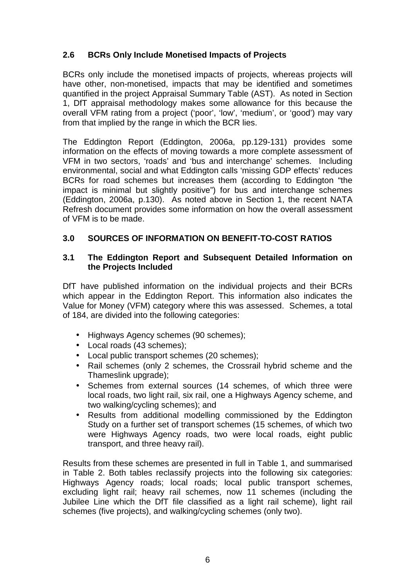# **2.6 BCRs Only Include Monetised Impacts of Projects**

BCRs only include the monetised impacts of projects, whereas projects will have other, non-monetised, impacts that may be identified and sometimes quantified in the project Appraisal Summary Table (AST). As noted in Section 1, DfT appraisal methodology makes some allowance for this because the overall VFM rating from a project ('poor', 'low', 'medium', or 'good') may vary from that implied by the range in which the BCR lies.

The Eddington Report (Eddington, 2006a, pp.129-131) provides some information on the effects of moving towards a more complete assessment of VFM in two sectors, 'roads' and 'bus and interchange' schemes. Including environmental, social and what Eddington calls 'missing GDP effects' reduces BCRs for road schemes but increases them (according to Eddington "the impact is minimal but slightly positive") for bus and interchange schemes (Eddington, 2006a, p.130). As noted above in Section 1, the recent NATA Refresh document provides some information on how the overall assessment of VFM is to be made.

# **3.0 SOURCES OF INFORMATION ON BENEFIT-TO-COST RATIOS**

#### **3.1 The Eddington Report and Subsequent Detailed Information on the Projects Included**

DfT have published information on the individual projects and their BCRs which appear in the Eddington Report. This information also indicates the Value for Money (VFM) category where this was assessed. Schemes, a total of 184, are divided into the following categories:

- Highways Agency schemes (90 schemes);
- Local roads (43 schemes);
- Local public transport schemes (20 schemes);
- Rail schemes (only 2 schemes, the Crossrail hybrid scheme and the Thameslink upgrade);
- Schemes from external sources (14 schemes, of which three were local roads, two light rail, six rail, one a Highways Agency scheme, and two walking/cycling schemes); and
- Results from additional modelling commissioned by the Eddington Study on a further set of transport schemes (15 schemes, of which two were Highways Agency roads, two were local roads, eight public transport, and three heavy rail).

Results from these schemes are presented in full in Table 1, and summarised in Table 2. Both tables reclassify projects into the following six categories: Highways Agency roads; local roads; local public transport schemes, excluding light rail; heavy rail schemes, now 11 schemes (including the Jubilee Line which the DfT file classified as a light rail scheme), light rail schemes (five projects), and walking/cycling schemes (only two).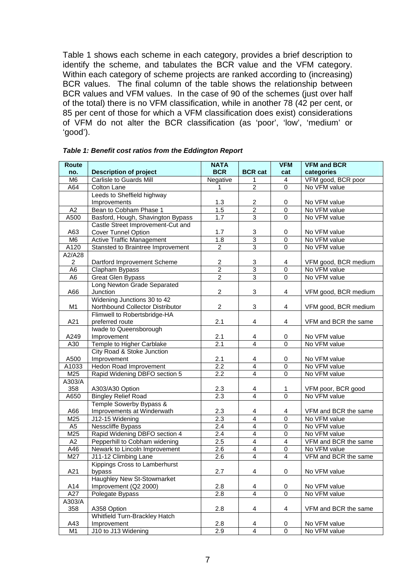Table 1 shows each scheme in each category, provides a brief description to identify the scheme, and tabulates the BCR value and the VFM category. Within each category of scheme projects are ranked according to (increasing) BCR values. The final column of the table shows the relationship between BCR values and VFM values. In the case of 90 of the schemes (just over half of the total) there is no VFM classification, while in another 78 (42 per cent, or 85 per cent of those for which a VFM classification does exist) considerations of VFM do not alter the BCR classification (as 'poor', 'low', 'medium' or 'good').

| Route           |                                   | <b>NATA</b>      |                         | <b>VFM</b>     | <b>VFM and BCR</b>   |
|-----------------|-----------------------------------|------------------|-------------------------|----------------|----------------------|
| no.             | <b>Description of project</b>     | <b>BCR</b>       | <b>BCR cat</b>          | cat            | categories           |
| M6              | <b>Carlisle to Guards Mill</b>    | Negative         | $\mathbf{1}$            | $\overline{4}$ | VFM good, BCR poor   |
| A64             | Colton Lane                       | 1                | $\overline{2}$          | $\Omega$       | No VFM value         |
|                 | Leeds to Sheffield highway        |                  |                         |                |                      |
|                 | Improvements                      | 1.3              | 2                       | 0              | No VFM value         |
| A2              | Bean to Cobham Phase 1            | 1.5              | $\overline{2}$          | $\mathbf 0$    | No VFM value         |
| A500            | Basford, Hough, Shavington Bypass | 1.7              | $\overline{3}$          | $\mathbf 0$    | No VFM value         |
|                 | Castle Street Improvement-Cut and |                  |                         |                |                      |
| A63             | Cover Tunnel Option               | 1.7              | 3                       | 0              | No VFM value         |
| M <sub>6</sub>  | <b>Active Traffic Management</b>  | 1.8              | $\overline{3}$          | $\overline{0}$ | No VFM value         |
| A120            | Stansted to Braintree Improvement | $\overline{2}$   | $\overline{3}$          | $\Omega$       | No VFM value         |
| A2/A28          |                                   |                  |                         |                |                      |
| $\overline{c}$  | Dartford Improvement Scheme       | $\overline{c}$   | 3                       | 4              | VFM good, BCR medium |
| A <sub>6</sub>  | Clapham Bypass                    | $\overline{2}$   | $\overline{3}$          | $\mathbf 0$    | No VFM value         |
| $\overline{A6}$ | <b>Great Glen Bypass</b>          | $\overline{2}$   | $\overline{3}$          | $\overline{0}$ | No VFM value         |
|                 | Long Newton Grade Separated       |                  |                         |                |                      |
| A66             | Junction                          | $\overline{2}$   | 3                       | $\overline{4}$ | VFM good, BCR medium |
|                 | Widening Junctions 30 to 42       |                  |                         |                |                      |
| M <sub>1</sub>  | Northbound Collector Distributor  | $\overline{2}$   | 3                       | 4              | VFM good, BCR medium |
|                 | Flimwell to Robertsbridge-HA      |                  |                         |                |                      |
| A21             | preferred route                   | 2.1              | $\overline{\mathbf{4}}$ | 4              | VFM and BCR the same |
|                 | Iwade to Queensborough            |                  |                         |                |                      |
| A249            | Improvement                       | 2.1              | 4                       | 0              | No VFM value         |
| A30             | Temple to Higher Carblake         | 2.1              | $\overline{4}$          | $\overline{0}$ | No VFM value         |
|                 | City Road & Stoke Junction        |                  |                         |                |                      |
| A500            | Improvement                       | 2.1              | 4                       | 0              | No VFM value         |
| A1033           | Hedon Road Improvement            | $\overline{2.2}$ | $\overline{4}$          | $\mathbf 0$    | No VFM value         |
| M25             | Rapid Widening DBFO section 5     | 2.2              | $\overline{4}$          | $\Omega$       | No VFM value         |
| A303/A          |                                   |                  |                         |                |                      |
| 358             | A303/A30 Option                   | 2.3              | $\overline{\mathbf{r}}$ | $\mathbf{1}$   | VFM poor, BCR good   |
| A650            | <b>Bingley Relief Road</b>        | 2.3              | $\overline{4}$          | $\overline{0}$ | No VFM value         |
|                 | Temple Sowerby Bypass &           |                  |                         |                |                      |
| A66             | Improvements at Winderwath        | 2.3              | 4                       | 4              | VFM and BCR the same |
| M25             | J12-15 Widening                   | 2.3              | $\overline{4}$          | $\overline{0}$ | No VFM value         |
| A <sub>5</sub>  | Nesscliffe Bypass                 | 2.4              | $\overline{\mathbf{4}}$ | $\pmb{0}$      | No VFM value         |
| M25             | Rapid Widening DBFO section 4     | 2.4              | $\overline{\mathbf{4}}$ | 0              | No VFM value         |
| A2              | Pepperhill to Cobham widening     | 2.5              | $\overline{\mathbf{4}}$ | $\overline{4}$ | VFM and BCR the same |
| A46             | Newark to Lincoln Improvement     | $\overline{2.6}$ | $\overline{4}$          | $\mathbf 0$    | No VFM value         |
| M27             | J11-12 Climbing Lane              | 2.6              | $\overline{4}$          | $\overline{4}$ | VFM and BCR the same |
|                 | Kippings Cross to Lamberhurst     |                  |                         |                |                      |
| A21             | bypass                            | 2.7              | 4                       | 0              | No VFM value         |
|                 | Haughley New St-Stowmarket        |                  |                         |                |                      |
| A14             | Improvement (Q2 2000)             | 2.8              | 4                       | 0              | No VFM value         |
| A27             | Polegate Bypass                   | 2.8              | $\overline{4}$          | $\mathbf 0$    | No VFM value         |
| A303/A          |                                   |                  |                         |                |                      |
| 358             | A358 Option                       | 2.8              | $\overline{\mathbf{4}}$ | 4              | VFM and BCR the same |
|                 | Whitfield Turn-Brackley Hatch     |                  |                         |                |                      |
| A43             | Improvement                       | 2.8              | 4                       | 0              | No VFM value         |
| M <sub>1</sub>  | J10 to J13 Widening               | 2.9              | $\overline{4}$          | $\mathbf 0$    | No VFM value         |

**Table 1: Benefit cost ratios from the Eddington Report**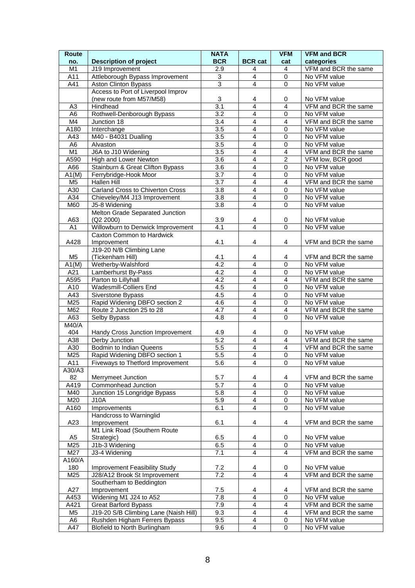| <b>Route</b>   |                                               | <b>NATA</b>             |                                  | <b>VFM</b>              | <b>VFM and BCR</b>           |
|----------------|-----------------------------------------------|-------------------------|----------------------------------|-------------------------|------------------------------|
| no.            | <b>Description of project</b>                 | <b>BCR</b>              | <b>BCR</b> cat                   | cat                     | categories                   |
| M1             | J19 Improvement                               | 2.9                     | 4                                | 4                       | VFM and BCR the same         |
| A11            | Attleborough Bypass Improvement               | 3                       | $\overline{4}$                   | $\mathbf 0$             | No VFM value                 |
| A41            | <b>Aston Clinton Bypass</b>                   | $\overline{3}$          | $\overline{4}$                   | $\Omega$                | No VFM value                 |
|                | Access to Port of Liverpool Improv            |                         |                                  |                         |                              |
|                | (new route from M57/M58)                      | 3                       | 4                                | 0                       | No VFM value                 |
| A <sub>3</sub> | Hindhead                                      | 3.1                     | 4                                | $\overline{4}$          | VFM and BCR the same         |
| A <sub>6</sub> | Rothwell-Denborough Bypass                    | 3.2                     | 4                                | $\mathbf 0$             | No VFM value                 |
| M4             | Junction 18                                   | $\overline{3.4}$        | $\overline{4}$                   | $\overline{4}$          | VFM and BCR the same         |
| A180           | Interchange                                   | 3.5                     | $\overline{4}$                   | $\mathbf 0$             | No VFM value                 |
| A43            | M40 - B4031 Dualling                          | $\overline{3.5}$        | $\overline{4}$                   | $\mathbf 0$             | No VFM value                 |
| A <sub>6</sub> | Alvaston                                      | $\overline{3.5}$        | 4                                | $\mathbf 0$             | No VFM value                 |
| M <sub>1</sub> | J6A to J10 Widening                           | $\overline{3.5}$        | 4                                | $\overline{4}$          | VFM and BCR the same         |
| A590           | High and Lower Newton                         | $\overline{3.6}$        | $\overline{4}$<br>$\overline{4}$ | $\overline{2}$          | VFM low, BCR good            |
| A66            | Stainburn & Great Clifton Bypass              | 3.6                     |                                  | $\mathbf 0$             | No VFM value                 |
| A1(M)          | Ferrybridge-Hook Moor                         | 3.7                     | 4                                | $\mathbf 0$             | No VFM value                 |
| M <sub>5</sub> | Hallen Hill                                   | 3.7                     | 4                                | $\overline{4}$          | VFM and BCR the same         |
| A30            | Carland Cross to Chiverton Cross              | 3.8<br>$\overline{3.8}$ | 4<br>$\overline{4}$              | 0<br>$\mathbf 0$        | No VFM value                 |
| A34<br>M60     | Chieveley/M4 J13 Improvement<br>J5-8 Widening | $\overline{3.8}$        | 4                                | $\Omega$                | No VFM value<br>No VFM value |
|                |                                               |                         |                                  |                         |                              |
| A63            | Melton Grade Separated Junction<br>(Q2 2000)  | 3.9                     |                                  | 0                       | No VFM value                 |
| A1             | Willowburn to Denwick Improvement             | 4.1                     | 4<br>$\overline{4}$              | $\Omega$                | No VFM value                 |
|                | Caxton Common to Hardwick                     |                         |                                  |                         |                              |
| A428           | Improvement                                   | 4.1                     | 4                                | 4                       | VFM and BCR the same         |
|                | J19-20 N/B Climbing Lane                      |                         |                                  |                         |                              |
| M <sub>5</sub> | (Tickenham Hill)                              | 4.1                     | 4                                | 4                       | VFM and BCR the same         |
| A1(M)          | Wetherby-Walshford                            | 4.2                     | $\overline{4}$                   | $\mathbf 0$             | No VFM value                 |
| A21            | Lamberhurst By-Pass                           | $\overline{4.2}$        | $\overline{\mathbf{4}}$          | $\mathbf 0$             | No VFM value                 |
| A595           | Parton to Lillyhall                           | $\overline{4.2}$        | 4                                | 4                       | VFM and BCR the same         |
| A10            | <b>Wadesmill-Colliers End</b>                 | 4.5                     | 4                                | $\mathbf 0$             | No VFM value                 |
| A43            | Siverstone Bypass                             | 4.5                     | 4                                | $\mathbf 0$             | No VFM value                 |
| M25            | Rapid Widening DBFO section 2                 | 4.6                     | $\overline{4}$                   | $\mathbf 0$             | No VFM value                 |
| M62            | Route 2 Junction 25 to 28                     | 4.7                     | $\overline{4}$                   | 4                       | VFM and BCR the same         |
| A63            | Selby Bypass                                  | 4.8                     | $\overline{4}$                   | $\Omega$                | No VFM value                 |
| M40/A          |                                               |                         |                                  |                         |                              |
| 404            | Handy Cross Junction Improvement              | 4.9                     | 4                                | 0                       | No VFM value                 |
| A38            | Derby Junction                                | 5.2                     | $\overline{4}$                   | $\overline{\mathbf{4}}$ | VFM and BCR the same         |
| A30            | Bodmin to Indian Queens                       | $\overline{5.5}$        | 4                                | $\overline{4}$          | VFM and BCR the same         |
| M25            | Rapid Widening DBFO section 1                 | 5.5                     | $\overline{4}$                   | $\mathbf 0$             | No VFM value                 |
| A11            | Fiveways to Thetford Improvement              | $\overline{5.6}$        | 4                                | 0                       | No VFM value                 |
| A30/A3         |                                               |                         |                                  |                         |                              |
| 82             | Merrymeet Junction                            | 5.7                     | 4                                | 4                       | VFM and BCR the same         |
| A419           | Commonhead Junction                           | 5.7                     | $\overline{4}$                   | $\mathbf 0$             | No VFM value                 |
| M40            | Junction 15 Longridge Bypass                  | 5.8                     | $\overline{4}$                   | $\pmb{0}$               | No VFM value                 |
| M20            | J10A                                          | 5.9                     | 4                                | $\mathbf 0$             | No VFM value                 |
| A160           | Improvements                                  | 6.1                     | $\overline{\mathbf{4}}$          | 0                       | No VFM value                 |
|                | Handcross to Warninglid                       |                         |                                  |                         |                              |
| A23            | Improvement                                   | 6.1                     | 4                                | 4                       | VFM and BCR the same         |
|                | M1 Link Road (Southern Route                  |                         |                                  |                         |                              |
| A <sub>5</sub> | Strategic)                                    | 6.5                     | 4                                | 0                       | No VFM value                 |
| M25            | J1b-3 Widening                                | 6.5                     | $\overline{4}$                   | $\mathbf 0$             | No VFM value                 |
| M27            | J3-4 Widening                                 | 7.1                     | $\overline{4}$                   | $\overline{4}$          | VFM and BCR the same         |
| A160/A         |                                               |                         |                                  |                         |                              |
| 180            | Improvement Feasibility Study                 | 7.2                     | 4                                | 0                       | No VFM value                 |
| M25            | J28/A12 Brook St Improvement                  | 7.2                     | $\overline{4}$                   | 4                       | VFM and BCR the same         |
|                | Southerham to Beddington                      |                         |                                  |                         |                              |
| A27            | Improvement                                   | 7.5                     | 4                                | 4                       | VFM and BCR the same         |
| A453           | Widening M1 J24 to A52                        | 7.8                     | $\overline{4}$                   | $\mathbf 0$             | No VFM value                 |
| A421           | <b>Great Barford Bypass</b>                   | 7.9                     | $\overline{\mathbf{4}}$          | $\overline{4}$          | VFM and BCR the same         |
| M <sub>5</sub> | J19-20 S/B Climbing Lane (Naish Hill)         | 9.3                     | 4                                | 4                       | VFM and BCR the same         |
| A <sub>6</sub> | Rushden Higham Ferrers Bypass                 | $9.\overline{5}$        | $\overline{4}$                   | $\pmb{0}$               | No VFM value                 |
| A47            | Blofield to North Burlingham                  | 9.6                     | $\overline{4}$                   | $\mathbf 0$             | No VFM value                 |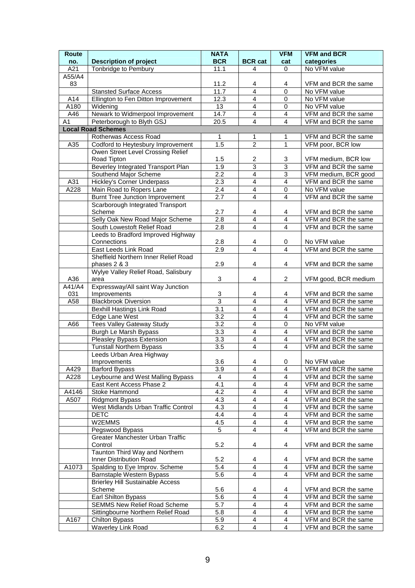| <b>Route</b> |                                         | <b>NATA</b>       |                         | <b>VFM</b>              | <b>VFM and BCR</b>   |
|--------------|-----------------------------------------|-------------------|-------------------------|-------------------------|----------------------|
| no.          | <b>Description of project</b>           | <b>BCR</b>        | <b>BCR cat</b>          | cat                     | categories           |
| A21          | Tonbridge to Pembury                    | 11.1              | 4                       | 0                       | No VFM value         |
| A55/A4       |                                         |                   |                         |                         |                      |
| 83           |                                         | 11.2              | 4                       | 4                       | VFM and BCR the same |
|              | <b>Stansted Surface Access</b>          | 11.7              | $\overline{4}$          | $\Omega$                | No VFM value         |
| A14          | Ellington to Fen Ditton Improvement     | 12.3              | $\overline{4}$          | $\mathbf 0$             | No VFM value         |
| A180         | Widening                                | 13                | $\overline{4}$          | 0                       | No VFM value         |
| A46          | Newark to Widmerpool Improvement        | 14.7              | $\overline{4}$          | $\overline{4}$          | VFM and BCR the same |
| A1           | Peterborough to Blyth GSJ               | $\overline{2}0.5$ | $\overline{4}$          | $\overline{4}$          | VFM and BCR the same |
|              | <b>Local Road Schemes</b>               |                   |                         |                         |                      |
|              | Rotherwas Access Road                   | 1                 | 1                       | 1                       | VFM and BCR the same |
| A35          | Codford to Heytesbury Improvement       | 1.5               | $\overline{2}$          | $\mathbf{1}$            | VFM poor, BCR low    |
|              | Owen Street Level Crossing Relief       |                   |                         |                         |                      |
|              | Road Tipton                             | 1.5               | 2                       | 3                       | VFM medium, BCR low  |
|              | Beverley Integrated Transport Plan      | 1.9               | $\overline{3}$          | $\overline{3}$          | VFM and BCR the same |
|              | Southend Major Scheme                   | 2.2               | $\overline{4}$          | $\sqrt{3}$              | VFM medium, BCR good |
| A31          | Hickley's Corner Underpass              | 2.3               | $\overline{\mathbf{4}}$ | $\overline{\mathbf{4}}$ | VFM and BCR the same |
|              |                                         |                   |                         |                         |                      |
| A228         | Main Road to Ropers Lane                | 2.4               | $\overline{4}$          | $\mathbf 0$             | No VFM value         |
|              | <b>Burnt Tree Junction Improvement</b>  | 2.7               | $\overline{4}$          | $\overline{4}$          | VFM and BCR the same |
|              | Scarborough Integrated Transport        |                   |                         |                         |                      |
|              | Scheme                                  | 2.7               | 4                       | 4                       | VFM and BCR the same |
|              | Selly Oak New Road Major Scheme         | 2.8               | $\overline{4}$          | $\overline{\mathbf{4}}$ | VFM and BCR the same |
|              | South Lowestoft Relief Road             | 2.8               | $\overline{4}$          | $\overline{4}$          | VFM and BCR the same |
|              | Leeds to Bradford Improved Highway      |                   |                         |                         |                      |
|              | Connections                             | 2.8               | 4                       | 0                       | No VFM value         |
|              | East Leeds Link Road                    | $\overline{2.9}$  | $\overline{4}$          | $\overline{4}$          | VFM and BCR the same |
|              | Sheffield Northern Inner Relief Road    |                   |                         |                         |                      |
|              | phases 2 & 3                            | 2.9               | 4                       | 4                       | VFM and BCR the same |
|              | Wylye Valley Relief Road, Salisbury     |                   |                         |                         |                      |
| A36          | area                                    | 3                 | 4                       | $\overline{c}$          | VFM good, BCR medium |
| A41/A4       | Expressway/All saint Way Junction       |                   |                         |                         |                      |
| 031          | Improvements                            | $\overline{3}$    | 4                       | 4                       | VFM and BCR the same |
| A58          | <b>Blackbrook Diversion</b>             | $\overline{3}$    | $\overline{4}$          | $\overline{4}$          | VFM and BCR the same |
|              | <b>Bexhill Hastings Link Road</b>       | 3.1               | 4                       | $\overline{4}$          | VFM and BCR the same |
|              | Edge Lane West                          | 3.2               | $\overline{4}$          | $\overline{4}$          | VFM and BCR the same |
| A66          | <b>Tees Valley Gateway Study</b>        | $\overline{3.2}$  | $\overline{\mathbf{4}}$ | 0                       | No VFM value         |
|              | Burgh Le Marsh Bypass                   | 3.3               | $\overline{4}$          | $\overline{\mathbf{4}}$ | VFM and BCR the same |
|              | Pleasley Bypass Extension               | $\overline{3.3}$  | $\overline{4}$          | $\overline{4}$          | VFM and BCR the same |
|              | <b>Tunstall Northern Bypass</b>         | $\overline{3.5}$  | $\overline{4}$          | $\overline{4}$          | VFM and BCR the same |
|              | Leeds Urban Area Highway                |                   |                         |                         |                      |
|              | Improvements                            | 3.6               | 4                       | 0                       | No VFM value         |
| A429         | <b>Barford Bypass</b>                   | 3.9               | $\overline{\mathbf{4}}$ | $\overline{4}$          | VFM and BCR the same |
| A228         | Leybourne and West Malling Bypass       | $\overline{4}$    | $\overline{4}$          | $\overline{\mathbf{4}}$ | VFM and BCR the same |
|              | East Kent Access Phase 2                | 4.1               | $\overline{4}$          | $\overline{\mathbf{4}}$ | VFM and BCR the same |
| A4146        | Stoke Hammond                           | 4.2               | $\overline{\mathbf{4}}$ | $\overline{\mathbf{4}}$ | VFM and BCR the same |
| A507         | <b>Ridgmont Bypass</b>                  | 4.3               | $\overline{\mathbf{4}}$ | 4                       | VFM and BCR the same |
|              | West Midlands Urban Traffic Control     | 4.3               | $\overline{\mathbf{4}}$ | $\overline{4}$          | VFM and BCR the same |
|              | <b>DETC</b>                             | 4.4               | $\overline{4}$          | $\overline{4}$          | VFM and BCR the same |
|              | W2EMMS                                  | 4.5               | $\overline{4}$          | $\overline{4}$          | VFM and BCR the same |
|              | Pegswood Bypass                         | $\overline{5}$    | $\overline{4}$          | $\overline{4}$          | VFM and BCR the same |
|              | Greater Manchester Urban Traffic        |                   |                         |                         |                      |
|              | Control                                 | 5.2               |                         |                         |                      |
|              |                                         |                   | 4                       | 4                       | VFM and BCR the same |
|              | Taunton Third Way and Northern          |                   |                         |                         |                      |
|              | Inner Distribution Road                 | 5.2               | 4                       | 4                       | VFM and BCR the same |
| A1073        | Spalding to Eye Improv. Scheme          | 5.4               | $\overline{\mathbf{4}}$ | $\overline{\mathbf{4}}$ | VFM and BCR the same |
|              | Barnstaple Western Bypass               | 5.6               | $\overline{4}$          | $\overline{4}$          | VFM and BCR the same |
|              | <b>Brierley Hill Sustainable Access</b> |                   |                         |                         |                      |
|              | Scheme                                  | 5.6               | 4                       | 4                       | VFM and BCR the same |
|              | Earl Shilton Bypass                     | 5.6               | $\overline{4}$          | $\overline{4}$          | VFM and BCR the same |
|              | <b>SEMMS New Relief Road Scheme</b>     | 5.7               | $\overline{\mathbf{4}}$ | 4                       | VFM and BCR the same |
|              | Sittingbourne Northern Relief Road      | 5.8               | $\overline{\mathbf{4}}$ | $\overline{4}$          | VFM and BCR the same |
| A167         | Chilton Bypass                          | 5.9               | $\overline{\mathbf{4}}$ | $\overline{4}$          | VFM and BCR the same |
|              | Waverley Link Road                      | 6.2               | 4                       | $\overline{4}$          | VFM and BCR the same |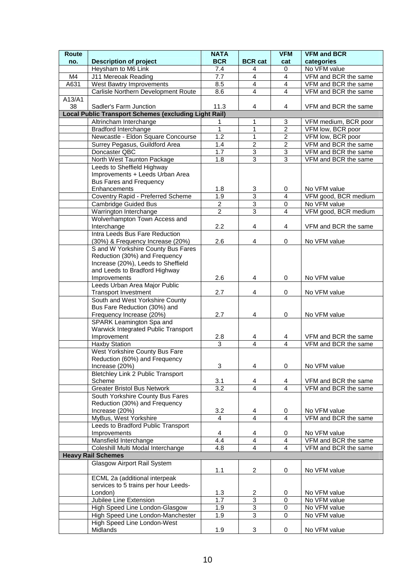| Route  |                                                                   | <b>NATA</b>           |                     | <b>VFM</b>                  | <b>VFM and BCR</b>                   |
|--------|-------------------------------------------------------------------|-----------------------|---------------------|-----------------------------|--------------------------------------|
| no.    | <b>Description of project</b>                                     | <b>BCR</b>            | <b>BCR cat</b>      | cat                         | categories                           |
|        | Heysham to M6 Link                                                | 7.4                   | 4                   | 0                           | No VFM value                         |
| M4     | J11 Mereoak Reading                                               | 7.7                   | $\overline{4}$      | $\overline{4}$              | VFM and BCR the same                 |
| A631   | <b>West Bawtry Improvements</b>                                   | 8.5                   | $\overline{4}$      | $\overline{4}$              | VFM and BCR the same                 |
|        | Carlisle Northern Development Route                               | $\overline{8.6}$      | $\overline{4}$      | $\overline{4}$              | VFM and BCR the same                 |
| A13/A1 |                                                                   |                       |                     |                             |                                      |
| 38     | Sadler's Farm Junction                                            | 11.3                  | 4                   | 4                           | VFM and BCR the same                 |
|        | <b>Local Public Transport Schemes (excluding Light Rail)</b>      |                       |                     |                             |                                      |
|        | Altrincham Interchange                                            | 1                     | 1                   | 3                           | VFM medium, BCR poor                 |
|        | <b>Bradford Interchange</b>                                       | $\mathbf{1}$          | $\mathbf{1}$        | $\overline{2}$              | VFM low, BCR poor                    |
|        | Newcastle - Eldon Square Concourse                                | $\overline{1.2}$      | $\mathbf{1}$        | $\overline{2}$              | VFM low, BCR poor                    |
|        | Surrey Pegasus, Guildford Area                                    | 1.4                   | $\overline{2}$      | $\boldsymbol{2}$            | VFM and BCR the same                 |
|        | Doncaster QBC                                                     | 1.7                   | 3                   | $\overline{3}$              | VFM and BCR the same                 |
|        | North West Taunton Package                                        | 1.8                   | $\overline{3}$      | 3                           | VFM and BCR the same                 |
|        | Leeds to Sheffield Highway                                        |                       |                     |                             |                                      |
|        | Improvements + Leeds Urban Area                                   |                       |                     |                             |                                      |
|        | Bus Fares and Frequency                                           |                       |                     |                             |                                      |
|        | Enhancements                                                      | 1.8                   | 3<br>$\overline{3}$ | 0                           | No VFM value                         |
|        | Coventry Rapid - Preferred Scheme                                 | 1.9<br>$\overline{c}$ | $\sqrt{3}$          | 4                           | VFM good, BCR medium<br>No VFM value |
|        | <b>Cambridge Guided Bus</b>                                       | $\overline{2}$        | $\overline{3}$      | $\pmb{0}$<br>$\overline{4}$ |                                      |
|        | Warrington Interchange                                            |                       |                     |                             | VFM good, BCR medium                 |
|        | Wolverhampton Town Access and<br>Interchange                      | 2.2                   | 4                   | 4                           | VFM and BCR the same                 |
|        | Intra Leeds Bus Fare Reduction                                    |                       |                     |                             |                                      |
|        | (30%) & Frequency Increase (20%)                                  | 2.6                   | 4                   | 0                           | No VFM value                         |
|        | S and W Yorkshire County Bus Fares                                |                       |                     |                             |                                      |
|        | Reduction (30%) and Frequency                                     |                       |                     |                             |                                      |
|        | Increase (20%), Leeds to Sheffield                                |                       |                     |                             |                                      |
|        | and Leeds to Bradford Highway                                     |                       |                     |                             |                                      |
|        | Improvements                                                      | 2.6                   | 4                   | 0                           | No VFM value                         |
|        | Leeds Urban Area Major Public                                     |                       |                     |                             |                                      |
|        | <b>Transport Investment</b>                                       | 2.7                   | 4                   | 0                           | No VFM value                         |
|        | South and West Yorkshire County                                   |                       |                     |                             |                                      |
|        | Bus Fare Reduction (30%) and                                      |                       |                     |                             |                                      |
|        | Frequency Increase (20%)                                          | 2.7                   | 4                   | 0                           | No VFM value                         |
|        | SPARK Leamington Spa and                                          |                       |                     |                             |                                      |
|        | Warwick Integrated Public Transport                               |                       |                     |                             |                                      |
|        | Improvement                                                       | 2.8                   | 4                   | 4                           | VFM and BCR the same                 |
|        | Haxby Station                                                     | 3                     | $\overline{4}$      | $\overline{4}$              | VFM and BCR the same                 |
|        | West Yorkshire County Bus Fare                                    |                       |                     |                             |                                      |
|        | Reduction (60%) and Frequency                                     |                       |                     |                             |                                      |
|        | Increase (20%)                                                    | 3                     | 4                   | 0                           | No VFM value                         |
|        | Bletchley Link 2 Public Transport                                 |                       |                     |                             |                                      |
|        | Scheme                                                            | 3.1                   | 4                   | 4                           | VFM and BCR the same                 |
|        | <b>Greater Bristol Bus Network</b>                                | $\overline{3.2}$      | $\overline{4}$      | $\overline{4}$              | VFM and BCR the same                 |
|        | South Yorkshire County Bus Fares<br>Reduction (30%) and Frequency |                       |                     |                             |                                      |
|        | Increase (20%)                                                    | 3.2                   | $\overline{4}$      | 0                           | No VFM value                         |
|        | MyBus, West Yorkshire                                             | 4                     | 4                   | 4                           | VFM and BCR the same                 |
|        | Leeds to Bradford Public Transport                                |                       |                     |                             |                                      |
|        | Improvements                                                      | 4                     | 4                   | 0                           | No VFM value                         |
|        | Mansfield Interchange                                             | 4.4                   | $\overline{4}$      | $\overline{\mathbf{4}}$     | VFM and BCR the same                 |
|        | Coleshill Multi Modal Interchange                                 | 4.8                   | $\overline{4}$      | $\overline{4}$              | VFM and BCR the same                 |
|        | <b>Heavy Rail Schemes</b>                                         |                       |                     |                             |                                      |
|        | Glasgow Airport Rail System                                       |                       |                     |                             |                                      |
|        |                                                                   | 1.1                   | $\overline{2}$      | 0                           | No VFM value                         |
|        | ECML 2a (additional interpeak                                     |                       |                     |                             |                                      |
|        | services to 5 trains per hour Leeds-                              |                       |                     |                             |                                      |
|        | London)                                                           | 1.3                   | $\overline{2}$      | 0                           | No VFM value                         |
|        | Jubilee Line Extension                                            | 1.7                   | $\overline{3}$      | 0                           | No VFM value                         |
|        | High Speed Line London-Glasgow                                    | 1.9                   | $\overline{3}$      | 0                           | No VFM value                         |
|        | High Speed Line London-Manchester                                 | 1.9                   | $\overline{3}$      | $\mathbf 0$                 | No VFM value                         |
|        | High Speed Line London-West                                       |                       |                     |                             |                                      |
|        | Midlands                                                          | 1.9                   | 3                   | 0                           | No VFM value                         |
|        |                                                                   |                       |                     |                             |                                      |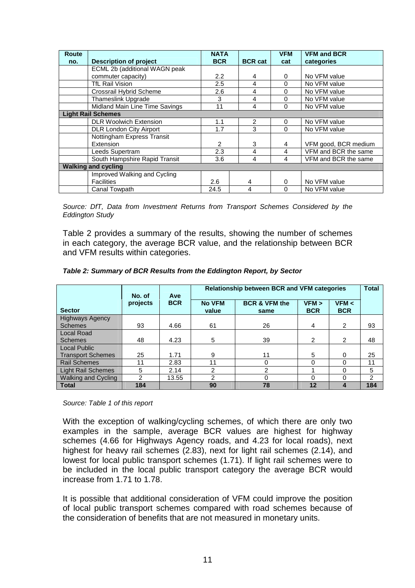| <b>Route</b> |                                | <b>NATA</b> |                | <b>VFM</b> | <b>VFM and BCR</b>   |
|--------------|--------------------------------|-------------|----------------|------------|----------------------|
| no.          | <b>Description of project</b>  | <b>BCR</b>  | <b>BCR cat</b> | cat        | categories           |
|              | ECML 2b (additional WAGN peak  |             |                |            |                      |
|              | commuter capacity)             | 2.2         | 4              | 0          | No VFM value         |
|              | <b>TfL Rail Vision</b>         | 2.5         | 4              | $\Omega$   | No VFM value         |
|              | Crossrail Hybrid Scheme        | 2.6         | 4              | 0          | No VFM value         |
|              | <b>Thameslink Upgrade</b>      | 3           | 4              | 0          | No VFM value         |
|              | Midland Main Line Time Savings | 11          | 4              | 0          | No VFM value         |
|              | <b>Light Rail Schemes</b>      |             |                |            |                      |
|              | <b>DLR Woolwich Extension</b>  | 1.1         | 2              | $\Omega$   | No VFM value         |
|              | <b>DLR London City Airport</b> | 1.7         | 3              | 0          | No VFM value         |
|              | Nottingham Express Transit     |             |                |            |                      |
|              | Extension                      | 2           | 3              | 4          | VFM good, BCR medium |
|              | Leeds Supertram                | 2.3         | 4              | 4          | VFM and BCR the same |
|              | South Hampshire Rapid Transit  | 3.6         | 4              | 4          | VFM and BCR the same |
|              | <b>Walking and cycling</b>     |             |                |            |                      |
|              | Improved Walking and Cycling   |             |                |            |                      |
|              | <b>Facilities</b>              | 2.6         | 4              | 0          | No VFM value         |
|              | Canal Towpath                  | 24.5        | 4              | 0          | No VFM value         |

Source: DfT, Data from Investment Returns from Transport Schemes Considered by the Eddington Study

Table 2 provides a summary of the results, showing the number of schemes in each category, the average BCR value, and the relationship between BCR and VFM results within categories.

|                           | No. of   | Ave        | <b>Relationship between BCR and VFM categories</b> |                                  |                     |                     |                |
|---------------------------|----------|------------|----------------------------------------------------|----------------------------------|---------------------|---------------------|----------------|
| <b>Sector</b>             | projects | <b>BCR</b> | <b>No VFM</b><br>value                             | <b>BCR &amp; VFM the</b><br>same | VFM ><br><b>BCR</b> | VFM <<br><b>BCR</b> |                |
| <b>Highways Agency</b>    |          |            |                                                    |                                  |                     |                     |                |
| <b>Schemes</b>            | 93       | 4.66       | 61                                                 | 26                               | 4                   | $\overline{2}$      | 93             |
| <b>Local Road</b>         |          |            |                                                    |                                  |                     |                     |                |
| <b>Schemes</b>            | 48       | 4.23       | 5                                                  | 39                               | 2                   | 2                   | 48             |
| <b>Local Public</b>       |          |            |                                                    |                                  |                     |                     |                |
| <b>Transport Schemes</b>  | 25       | 1.71       | 9                                                  | 11                               | 5                   | $\Omega$            | 25             |
| <b>Rail Schemes</b>       | 11       | 2.83       | 11                                                 | 0                                | 0                   | $\Omega$            | 11             |
| <b>Light Rail Schemes</b> | 5        | 2.14       | $\mathcal{P}$                                      | 2                                |                     | $\Omega$            | 5              |
| Walking and Cycling       | 2        | 13.55      | 2                                                  | $\Omega$                         | $\Omega$            | 0                   | $\overline{2}$ |
| <b>Total</b>              | 184      |            | 90                                                 | 78                               | 12                  | 4                   | 184            |

#### **Table 2: Summary of BCR Results from the Eddington Report, by Sector**

Source: Table 1 of this report

With the exception of walking/cycling schemes, of which there are only two examples in the sample, average BCR values are highest for highway schemes (4.66 for Highways Agency roads, and 4.23 for local roads), next highest for heavy rail schemes (2.83), next for light rail schemes (2.14), and lowest for local public transport schemes (1.71). If light rail schemes were to be included in the local public transport category the average BCR would increase from 1.71 to 1.78.

It is possible that additional consideration of VFM could improve the position of local public transport schemes compared with road schemes because of the consideration of benefits that are not measured in monetary units.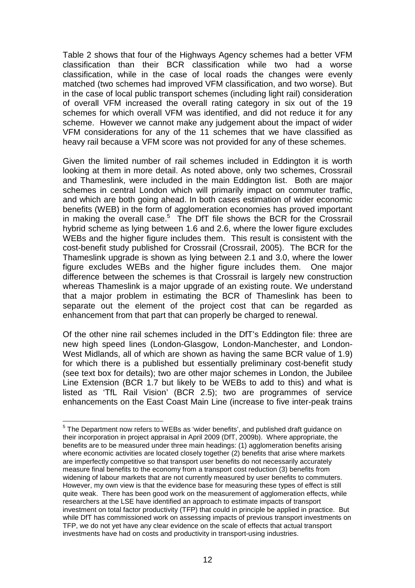Table 2 shows that four of the Highways Agency schemes had a better VFM classification than their BCR classification while two had a worse classification, while in the case of local roads the changes were evenly matched (two schemes had improved VFM classification, and two worse). But in the case of local public transport schemes (including light rail) consideration of overall VFM increased the overall rating category in six out of the 19 schemes for which overall VFM was identified, and did not reduce it for any scheme. However we cannot make any judgement about the impact of wider VFM considerations for any of the 11 schemes that we have classified as heavy rail because a VFM score was not provided for any of these schemes.

Given the limited number of rail schemes included in Eddington it is worth looking at them in more detail. As noted above, only two schemes, Crossrail and Thameslink, were included in the main Eddington list. Both are major schemes in central London which will primarily impact on commuter traffic, and which are both going ahead. In both cases estimation of wider economic benefits (WEB) in the form of agglomeration economies has proved important in making the overall case.<sup>5</sup> The DfT file shows the BCR for the Crossrail hybrid scheme as lying between 1.6 and 2.6, where the lower figure excludes WEBs and the higher figure includes them. This result is consistent with the cost-benefit study published for Crossrail (Crossrail, 2005). The BCR for the Thameslink upgrade is shown as lying between 2.1 and 3.0, where the lower figure excludes WEBs and the higher figure includes them. One major difference between the schemes is that Crossrail is largely new construction whereas Thameslink is a major upgrade of an existing route. We understand that a major problem in estimating the BCR of Thameslink has been to separate out the element of the project cost that can be regarded as enhancement from that part that can properly be charged to renewal.

Of the other nine rail schemes included in the DfT's Eddington file: three are new high speed lines (London-Glasgow, London-Manchester, and London-West Midlands, all of which are shown as having the same BCR value of 1.9) for which there is a published but essentially preliminary cost-benefit study (see text box for details); two are other major schemes in London, the Jubilee Line Extension (BCR 1.7 but likely to be WEBs to add to this) and what is listed as 'TfL Rail Vision' (BCR 2.5); two are programmes of service enhancements on the East Coast Main Line (increase to five inter-peak trains

 $\overline{a}$  $<sup>5</sup>$  The Department now refers to WEBs as 'wider benefits', and published draft guidance on</sup> their incorporation in project appraisal in April 2009 (DfT, 2009b). Where appropriate, the benefits are to be measured under three main headings: (1) agglomeration benefits arising where economic activities are located closely together (2) benefits that arise where markets are imperfectly competitive so that transport user benefits do not necessarily accurately measure final benefits to the economy from a transport cost reduction (3) benefits from widening of labour markets that are not currently measured by user benefits to commuters. However, my own view is that the evidence base for measuring these types of effect is still quite weak. There has been good work on the measurement of agglomeration effects, while researchers at the LSE have identified an approach to estimate impacts of transport investment on total factor productivity (TFP) that could in principle be applied in practice. But while DfT has commissioned work on assessing impacts of previous transport investments on TFP, we do not yet have any clear evidence on the scale of effects that actual transport investments have had on costs and productivity in transport-using industries.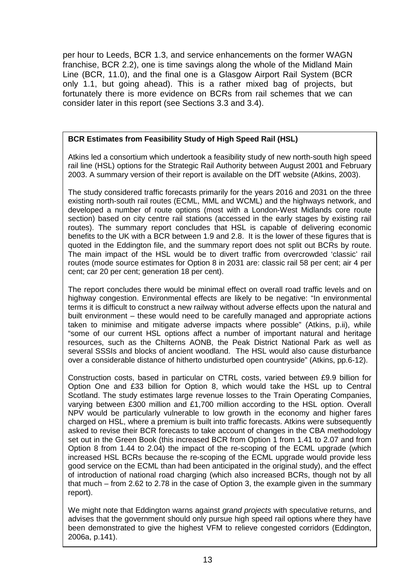per hour to Leeds, BCR 1.3, and service enhancements on the former WAGN franchise, BCR 2.2), one is time savings along the whole of the Midland Main Line (BCR, 11.0), and the final one is a Glasgow Airport Rail System (BCR only 1.1, but going ahead). This is a rather mixed bag of projects, but fortunately there is more evidence on BCRs from rail schemes that we can consider later in this report (see Sections 3.3 and 3.4).

#### **BCR Estimates from Feasibility Study of High Speed Rail (HSL)**

Atkins led a consortium which undertook a feasibility study of new north-south high speed rail line (HSL) options for the Strategic Rail Authority between August 2001 and February 2003. A summary version of their report is available on the DfT website (Atkins, 2003).

The study considered traffic forecasts primarily for the years 2016 and 2031 on the three existing north-south rail routes (ECML, MML and WCML) and the highways network, and developed a number of route options (most with a London-West Midlands core route section) based on city centre rail stations (accessed in the early stages by existing rail routes). The summary report concludes that HSL is capable of delivering economic benefits to the UK with a BCR between 1.9 and 2.8. It is the lower of these figures that is quoted in the Eddington file, and the summary report does not split out BCRs by route. The main impact of the HSL would be to divert traffic from overcrowded 'classic' rail routes (mode source estimates for Option 8 in 2031 are: classic rail 58 per cent; air 4 per cent; car 20 per cent; generation 18 per cent).

The report concludes there would be minimal effect on overall road traffic levels and on highway congestion. Environmental effects are likely to be negative: "In environmental terms it is difficult to construct a new railway without adverse effects upon the natural and built environment – these would need to be carefully managed and appropriate actions taken to minimise and mitigate adverse impacts where possible" (Atkins, p.ii), while "some of our current HSL options affect a number of important natural and heritage resources, such as the Chilterns AONB, the Peak District National Park as well as several SSSIs and blocks of ancient woodland. The HSL would also cause disturbance over a considerable distance of hitherto undisturbed open countryside" (Atkins, pp.6-12).

Construction costs, based in particular on CTRL costs, varied between £9.9 billion for Option One and £33 billion for Option 8, which would take the HSL up to Central Scotland. The study estimates large revenue losses to the Train Operating Companies, varying between £300 million and £1,700 million according to the HSL option. Overall NPV would be particularly vulnerable to low growth in the economy and higher fares charged on HSL, where a premium is built into traffic forecasts. Atkins were subsequently asked to revise their BCR forecasts to take account of changes in the CBA methodology set out in the Green Book (this increased BCR from Option 1 from 1.41 to 2.07 and from Option 8 from 1.44 to 2.04) the impact of the re-scoping of the ECML upgrade (which increased HSL BCRs because the re-scoping of the ECML upgrade would provide less good service on the ECML than had been anticipated in the original study), and the effect of introduction of national road charging (which also increased BCRs, though not by all that much – from 2.62 to 2.78 in the case of Option 3, the example given in the summary report).

We might note that Eddington warns against *grand projects* with speculative returns, and advises that the government should only pursue high speed rail options where they have been demonstrated to give the highest VFM to relieve congested corridors (Eddington, 2006a, p.141).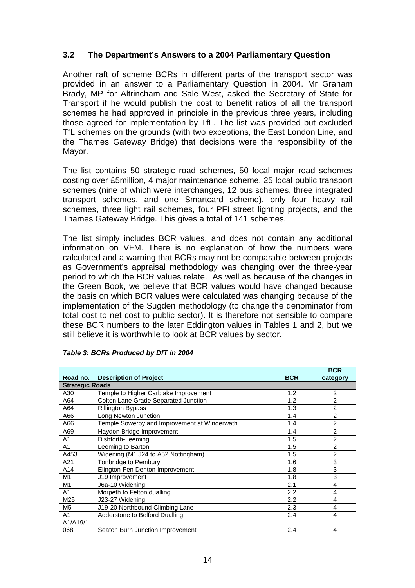#### **3.2 The Department's Answers to a 2004 Parliamentary Question**

Another raft of scheme BCRs in different parts of the transport sector was provided in an answer to a Parliamentary Question in 2004. Mr Graham Brady, MP for Altrincham and Sale West, asked the Secretary of State for Transport if he would publish the cost to benefit ratios of all the transport schemes he had approved in principle in the previous three years, including those agreed for implementation by TfL. The list was provided but excluded TfL schemes on the grounds (with two exceptions, the East London Line, and the Thames Gateway Bridge) that decisions were the responsibility of the Mayor.

The list contains 50 strategic road schemes, 50 local major road schemes costing over £5million, 4 major maintenance scheme, 25 local public transport schemes (nine of which were interchanges, 12 bus schemes, three integrated transport schemes, and one Smartcard scheme), only four heavy rail schemes, three light rail schemes, four PFI street lighting projects, and the Thames Gateway Bridge. This gives a total of 141 schemes.

The list simply includes BCR values, and does not contain any additional information on VFM. There is no explanation of how the numbers were calculated and a warning that BCRs may not be comparable between projects as Government's appraisal methodology was changing over the three-year period to which the BCR values relate. As well as because of the changes in the Green Book, we believe that BCR values would have changed because the basis on which BCR values were calculated was changing because of the implementation of the Sugden methodology (to change the denominator from total cost to net cost to public sector). It is therefore not sensible to compare these BCR numbers to the later Eddington values in Tables 1 and 2, but we still believe it is worthwhile to look at BCR values by sector.

|                        |                                              |            | <b>BCR</b>     |
|------------------------|----------------------------------------------|------------|----------------|
| Road no.               | <b>Description of Project</b>                | <b>BCR</b> | category       |
| <b>Strategic Roads</b> |                                              |            |                |
| A30                    | Temple to Higher Carblake Improvement        | 1.2        | $\overline{2}$ |
| A64                    | Colton Lane Grade Separated Junction         | 1.2        | $\overline{2}$ |
| A64                    | <b>Rillington Bypass</b>                     | 1.3        | $\overline{2}$ |
| A66                    | Long Newton Junction                         | 1.4        | $\overline{2}$ |
| A66                    | Temple Sowerby and Improvement at Winderwath | 1.4        | $\overline{2}$ |
| A69                    | Haydon Bridge Improvement                    | 1.4        | $\overline{2}$ |
| A <sub>1</sub>         | Dishforth-Leeming                            | 1.5        | $\mathfrak{p}$ |
| A <sub>1</sub>         | Leeming to Barton                            | 1.5        | $\overline{2}$ |
| A453                   | Widening (M1 J24 to A52 Nottingham)          | 1.5        | $\overline{2}$ |
| A21                    | Tonbridge to Pembury                         | 1.6        | 3              |
| A14                    | Elington-Fen Denton Improvement              | 1.8        | 3              |
| M1                     | J19 Improvement                              | 1.8        | 3              |
| M1                     | J6a-10 Widening                              | 2.1        | 4              |
| A <sub>1</sub>         | Morpeth to Felton dualling                   | 2.2        | 4              |
| M25                    | J23-27 Widening                              | 2.2        | 4              |
| M <sub>5</sub>         | J19-20 Northbound Climbing Lane              | 2.3        | 4              |
| A <sub>1</sub>         | Adderstone to Belford Dualling               | 2.4        | 4              |
| A1/A19/1               |                                              |            |                |
| 068                    | Seaton Burn Junction Improvement             | 2.4        | 4              |

#### **Table 3: BCRs Produced by DfT in 2004**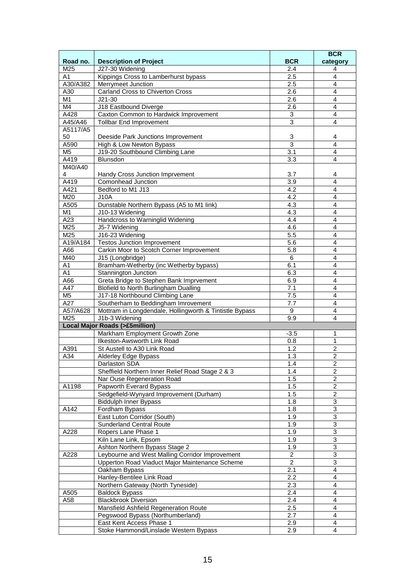|                 |                                                         |                  | <b>BCR</b>                |
|-----------------|---------------------------------------------------------|------------------|---------------------------|
| Road no.        | <b>Description of Project</b>                           | <b>BCR</b>       | category                  |
| M25             | J27-30 Widening                                         | 2.4              | 4                         |
| A1              | Kippings Cross to Lamberhurst bypass                    | 2.5              | $\overline{4}$            |
| A30/A382        | Merrymeet Junction                                      | 2.5              | $\overline{4}$            |
| A30             | <b>Carland Cross to Chiverton Cross</b>                 | $\overline{2.6}$ | $\overline{4}$            |
| $\overline{M1}$ | $J21-30$                                                | 2.6              | 4                         |
| M4              | J18 Eastbound Diverge                                   | 2.6              | $\overline{4}$            |
| A428            | Caxton Common to Hardwick Improvement                   | 3                | 4                         |
| A45/A46         | <b>Tollbar End Improvement</b>                          | $\overline{3}$   | 4                         |
| A5117/A5        |                                                         |                  |                           |
| 50              | Deeside Park Junctions Improvement                      | 3                | 4                         |
| A590            | High & Low Newton Bypass                                | 3                | $\overline{\mathbf{4}}$   |
| M <sub>5</sub>  | J19-20 Southbound Climbing Lane                         | $\overline{3.1}$ | $\overline{4}$            |
| A419            | <b>Blunsdon</b>                                         | 3.3              | 4                         |
| M40/A40         |                                                         |                  |                           |
| $\overline{4}$  | Handy Cross Junction Imprvement                         | 3.7              | 4                         |
| A419            | Comonhead Junction                                      | 3.9              | 4                         |
| A421            | Bedford to M1 J13                                       | $\overline{4.2}$ | $\overline{4}$            |
| M20             | <b>J10A</b>                                             | 4.2              | $\overline{\mathbf{4}}$   |
| A505            | Dunstable Northern Bypass (A5 to M1 link)               | 4.3              | 4                         |
| M <sub>1</sub>  | J10-13 Widening                                         | 4.3              | 4                         |
| A23             | Handcross to Warninglid Widening                        | 4.4              | $\overline{4}$            |
| M25             |                                                         | 4.6              | $\overline{4}$            |
|                 | J5-7 Widening                                           |                  |                           |
| M25             | J16-23 Widening                                         | 5.5              | $\overline{4}$            |
| A19/A184        | <b>Testos Junction Improvement</b>                      | 5.6              | 4                         |
| A66             | Carkin Moor to Scotch Corner Improvement                | 5.8              | 4                         |
| M40             | J15 (Longbridge)                                        | 6                | 4                         |
| A1              | Bramham-Wetherby (inc Wetherby bypass)                  | 6.1              | 4                         |
| A1              | Stannington Junction                                    | 6.3              | 4                         |
| A66             | Greta Bridge to Stephen Bank Imprvement                 | 6.9              | 4                         |
| A47             | <b>Blofield to North Burlingham Dualling</b>            | 7.1              | $\overline{\mathbf{4}}$   |
| M <sub>5</sub>  | J17-18 Northbound Climbing Lane                         | 7.5              | 4                         |
| A27             | Southerham to Beddingham Imrovement                     | 7.7              | $\overline{4}$            |
| A57/A628        | Mottram in Longdendale, Hollingworth & Tintistle Bypass | 9                | $\overline{4}$            |
| M25             | J1b-3 Widening                                          | 9.9              | $\overline{4}$            |
|                 | <b>Local Major Roads (&gt;£5million)</b>                |                  |                           |
|                 | Markham Employment Growth Zone                          | $-3.5$           | 1                         |
|                 | Ilkeston-Awsworth Link Road                             | 0.8              | 1                         |
| A391            | St Austell to A30 Link Road                             | $\overline{1.2}$ | $\overline{c}$            |
| A34             | <b>Alderley Edge Bypass</b>                             | 1.3              | $\overline{2}$            |
|                 | Darlaston SDA                                           | 1.4              | $\mathfrak{p}$            |
|                 | Sheffield Northern Inner Relief Road Stage 2 & 3        | 1.4              | $\overline{c}$            |
|                 | Nar Ouse Regeneration Road                              | 1.5              | 2                         |
| A1198           | Papworth Everard Bypass                                 | 1.5              | $\overline{2}$            |
|                 | Sedgefield-Wynyard Improvement (Durham)                 | 1.5              | $\overline{2}$            |
|                 | <b>Biddulph Inner Bypass</b>                            | 1.8              | $\overline{3}$            |
| A142            | Fordham Bypass                                          | 1.8              | $\ensuremath{\mathsf{3}}$ |
|                 | East Luton Corridor (South)                             | 1.9              | $\overline{3}$            |
|                 | <b>Sunderland Central Route</b>                         | 1.9              | $\overline{3}$            |
| A228            | Ropers Lane Phase 1                                     | 1.9              | 3                         |
|                 | Kiln Lane Link, Epsom                                   | 1.9              | $\overline{3}$            |
|                 | Ashton Northern Bypass Stage 2                          | 1.9              | $\overline{3}$            |
| A228            | Leybourne and West Malling Corridor Improvement         | $\overline{c}$   | 3                         |
|                 | Upperton Road Viaduct Major Maintenance Scheme          | $\overline{2}$   | $\overline{3}$            |
|                 | Oakham Bypass                                           | 2.1              | $\overline{4}$            |
|                 | Hanley-Bentilee Link Road                               | 2.2              | 4                         |
|                 | Northern Gateway (North Tyneside)                       | 2.3              | 4                         |
| A505            | <b>Baldock Bypass</b>                                   | 2.4              | 4                         |
| A58             | <b>Blackbrook Diversion</b>                             | 2.4              | $\overline{4}$            |
|                 | Mansfield Ashfield Regeneration Route                   | 2.5              | $\overline{4}$            |
|                 | Pegswood Bypass (Northumberland)                        | 2.7              | $\overline{4}$            |
|                 | East Kent Access Phase 1                                | 2.9              | $\overline{4}$            |
|                 |                                                         |                  | 4                         |
|                 | Stoke Hammond/Linslade Western Bypass                   | 2.9              |                           |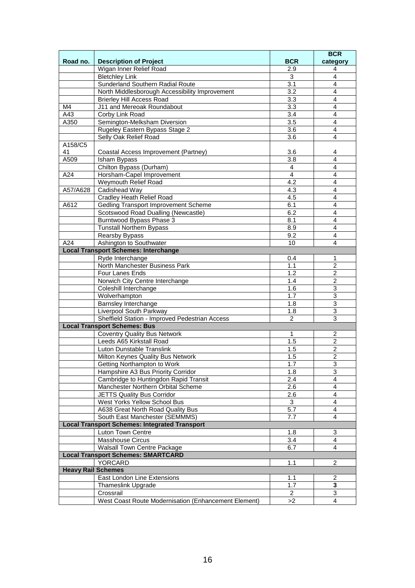|          |                                                      |                  | <b>BCR</b>     |
|----------|------------------------------------------------------|------------------|----------------|
| Road no. | <b>Description of Project</b>                        | <b>BCR</b>       | category       |
|          | Wigan Inner Relief Road                              | 2.9              | 4              |
|          | <b>Bletchley Link</b>                                | 3                | $\overline{4}$ |
|          | Sunderland Southern Radial Route                     | 3.1              | $\overline{4}$ |
|          | North Middlesborough Accessibility Improvement       | 3.2              | 4              |
|          | <b>Brierley Hill Access Road</b>                     | $\overline{3.3}$ | 4              |
| M4       | J11 and Mereoak Roundabout                           | 3.3              | 4              |
| A43      | Corby Link Road                                      | 3.4              | $\overline{4}$ |
| A350     | Semington-Melksham Diversion                         | 3.5              | 4              |
|          | Rugeley Eastern Bypass Stage 2                       | 3.6              | 4              |
|          | Selly Oak Relief Road                                | 3.6              | 4              |
| A158/C5  |                                                      |                  |                |
| 41       | Coastal Access Improvement (Partney)                 | 3.6              | 4              |
| A509     | Isham Bypass                                         | 3.8              | 4              |
|          | Chilton Bypass (Durham)                              | 4                | 4              |
| A24      | Horsham-Capel Improvement                            | $\overline{4}$   | 4              |
|          | Weymouth Relief Road                                 | 4.2              | 4              |
| A57/A628 | Cadishead Way                                        | 4.3              | $\overline{4}$ |
|          | <b>Cradley Heath Relief Road</b>                     | 4.5              | 4              |
| A612     | Gedling Transport Improvement Scheme                 | 6.1              | 4              |
|          | Scotswood Road Dualling (Newcastle)                  | 6.2              | 4              |
|          | Burntwood Bypass Phase 3                             | 8.1              | 4              |
|          | <b>Tunstall Northern Bypass</b>                      | 8.9              | 4              |
|          | Rearsby Bypass                                       | 9.2              | 4              |
| A24      | Ashington to Southwater                              | 10               | $\overline{4}$ |
|          | <b>Local Transport Schemes: Interchange</b>          |                  |                |
|          | Ryde Interchange                                     | 0.4              | 1              |
|          | North Manchester Business Park                       | 1.1              | 2              |
|          | Four Lanes Ends                                      | 1.2              | $\overline{2}$ |
|          | Norwich City Centre Interchange                      | 1.4              | $\overline{2}$ |
|          | Coleshill Interchange                                | 1.6              | 3              |
|          | Wolverhampton                                        | 1.7              | 3              |
|          | Barnsley Interchange                                 | 1.8              | 3              |
|          | Liverpool South Parkway                              | 1.8              | 3              |
|          | Sheffield Station - Improved Pedestrian Access       | 2                | $\overline{3}$ |
|          | <b>Local Transport Schemes: Bus</b>                  |                  |                |
|          | <b>Coventry Quality Bus Network</b>                  | $\mathbf{1}$     | $\overline{2}$ |
|          | Leeds A65 Kirkstall Road                             | 1.5              | $\overline{c}$ |
|          | Luton Dunstable Translink                            | 1.5              | $\overline{c}$ |
|          | Milton Keynes Quality Bus Network                    | 1.5              | $\overline{c}$ |
|          | Getting Northampton to Work                          | 1.7              | 3              |
|          | Hampshire A3 Bus Priority Corridor                   | 1.8              | 3              |
|          | Cambridge to Huntingdon Rapid Transit                | 2.4              | 4              |
|          | Manchester Northern Orbital Scheme                   | 2.6              | $\overline{4}$ |
|          | <b>JETTS Quality Bus Corridor</b>                    | 2.6              | 4              |
|          | West Yorks Yellow School Bus                         | 3                | 4              |
|          | A638 Great North Road Quality Bus                    | 5.7              | $\overline{4}$ |
|          | South East Manchester (SEMMMS)                       | 7.7              | 4              |
|          | <b>Local Transport Schemes: Integrated Transport</b> |                  |                |
|          | Luton Town Centre                                    | 1.8              | 3              |
|          | <b>Masshouse Circus</b>                              | 3.4              | $\overline{4}$ |
|          | Walsall Town Centre Package                          | 6.7              | $\overline{4}$ |
|          | <b>Local Transport Schemes: SMARTCARD</b>            |                  |                |
|          | YORCARD                                              | 1.1              | 2              |
|          | <b>Heavy Rail Schemes</b>                            |                  |                |
|          | East London Line Extensions                          | 1.1              | $\overline{c}$ |
|          | <b>Thameslink Upgrade</b>                            | 1.7              | 3              |
|          | Crossrail                                            | 2                | 3              |
|          | West Coast Route Modernisation (Enhancement Element) | >2               | 4              |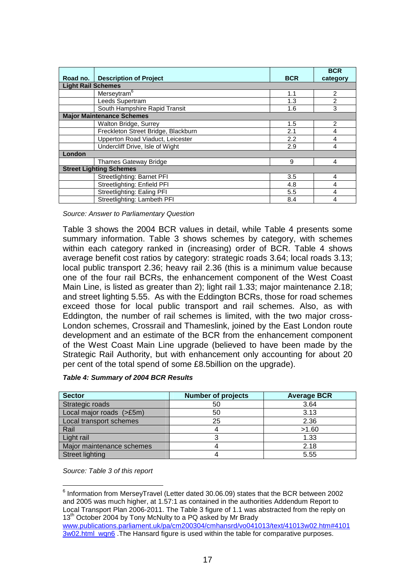|                           |                                     |            | <b>BCR</b>     |
|---------------------------|-------------------------------------|------------|----------------|
| Road no.                  | <b>Description of Project</b>       | <b>BCR</b> | category       |
| <b>Light Rail Schemes</b> |                                     |            |                |
|                           | Merseytram <sup>6</sup>             | 1.1        | 2              |
|                           | Leeds Supertram                     | 1.3        | 2              |
|                           | South Hampshire Rapid Transit       | 1.6        | 3              |
|                           | <b>Major Maintenance Schemes</b>    |            |                |
|                           | Walton Bridge, Surrey               | 1.5        | 2              |
|                           | Freckleton Street Bridge, Blackburn | 2.1        | 4              |
|                           | Upperton Road Viaduct, Leicester    |            | 4              |
|                           | Undercliff Drive, Isle of Wight     |            | 4              |
| London                    |                                     |            |                |
|                           | <b>Thames Gateway Bridge</b>        | 9          | $\overline{4}$ |
|                           | <b>Street Lighting Schemes</b>      |            |                |
|                           | Streetlighting: Barnet PFI          | 3.5        | 4              |
|                           | Streetlighting: Enfield PFI         |            | 4              |
|                           | Streetlighting: Ealing PFI          | 5.5        | 4              |
|                           | Streetlighting: Lambeth PFI         | 8.4        | 4              |

Source: Answer to Parliamentary Question

Table 3 shows the 2004 BCR values in detail, while Table 4 presents some summary information. Table 3 shows schemes by category, with schemes within each category ranked in (increasing) order of BCR. Table 4 shows average benefit cost ratios by category: strategic roads 3.64; local roads 3.13; local public transport 2.36; heavy rail 2.36 (this is a minimum value because one of the four rail BCRs, the enhancement component of the West Coast Main Line, is listed as greater than 2); light rail 1.33; major maintenance 2.18; and street lighting 5.55. As with the Eddington BCRs, those for road schemes exceed those for local public transport and rail schemes. Also, as with Eddington, the number of rail schemes is limited, with the two major cross-London schemes, Crossrail and Thameslink, joined by the East London route development and an estimate of the BCR from the enhancement component of the West Coast Main Line upgrade (believed to have been made by the Strategic Rail Authority, but with enhancement only accounting for about 20 per cent of the total spend of some £8.5billion on the upgrade).

| <b>Sector</b>             | <b>Number of projects</b> | <b>Average BCR</b> |
|---------------------------|---------------------------|--------------------|
| Strategic roads           | 50                        | 3.64               |
| Local major roads (>£5m)  | 50                        | 3.13               |
| Local transport schemes   | 25                        | 2.36               |
| Rail                      |                           | >1.60              |
| Light rail                |                           | 1.33               |
| Major maintenance schemes |                           | 2.18               |
| Street lighting           |                           | 5.55               |

Source: Table 3 of this report

 $\overline{a}$  $6$  Information from MerseyTravel (Letter dated 30.06.09) states that the BCR between 2002 and 2005 was much higher, at 1.57:1 as contained in the authorities Addendum Report to Local Transport Plan 2006-2011. The Table 3 figure of 1.1 was abstracted from the reply on 13<sup>th</sup> October 2004 by Tony McNulty to a PQ asked by Mr Brady

www.publications.parliament.uk/pa/cm200304/cmhansrd/vo041013/text/41013w02.htm#4101 3w02.html\_wqn6 .The Hansard figure is used within the table for comparative purposes.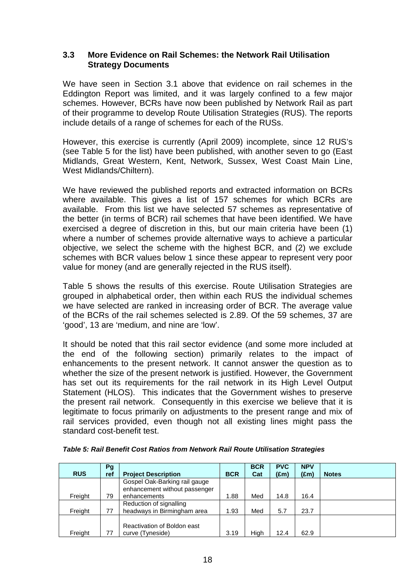#### **3.3 More Evidence on Rail Schemes: the Network Rail Utilisation Strategy Documents**

We have seen in Section 3.1 above that evidence on rail schemes in the Eddington Report was limited, and it was largely confined to a few major schemes. However, BCRs have now been published by Network Rail as part of their programme to develop Route Utilisation Strategies (RUS). The reports include details of a range of schemes for each of the RUSs.

However, this exercise is currently (April 2009) incomplete, since 12 RUS's (see Table 5 for the list) have been published, with another seven to go (East Midlands, Great Western, Kent, Network, Sussex, West Coast Main Line, West Midlands/Chiltern).

We have reviewed the published reports and extracted information on BCRs where available. This gives a list of 157 schemes for which BCRs are available. From this list we have selected 57 schemes as representative of the better (in terms of BCR) rail schemes that have been identified. We have exercised a degree of discretion in this, but our main criteria have been (1) where a number of schemes provide alternative ways to achieve a particular objective, we select the scheme with the highest BCR, and (2) we exclude schemes with BCR values below 1 since these appear to represent very poor value for money (and are generally rejected in the RUS itself).

Table 5 shows the results of this exercise. Route Utilisation Strategies are grouped in alphabetical order, then within each RUS the individual schemes we have selected are ranked in increasing order of BCR. The average value of the BCRs of the rail schemes selected is 2.89. Of the 59 schemes, 37 are 'good', 13 are 'medium, and nine are 'low'.

It should be noted that this rail sector evidence (and some more included at the end of the following section) primarily relates to the impact of enhancements to the present network. It cannot answer the question as to whether the size of the present network is justified. However, the Government has set out its requirements for the rail network in its High Level Output Statement (HLOS). This indicates that the Government wishes to preserve the present rail network. Consequently in this exercise we believe that it is legitimate to focus primarily on adjustments to the present range and mix of rail services provided, even though not all existing lines might pass the standard cost-benefit test.

|            | Pg  |                               |            | <b>BCR</b> | <b>PVC</b>    | <b>NPV</b>    |              |
|------------|-----|-------------------------------|------------|------------|---------------|---------------|--------------|
| <b>RUS</b> | ref | <b>Project Description</b>    | <b>BCR</b> | Cat        | $(\text{Em})$ | $(\text{Em})$ | <b>Notes</b> |
|            |     | Gospel Oak-Barking rail gauge |            |            |               |               |              |
|            |     | enhancement without passenger |            |            |               |               |              |
| Freight    | 79  | enhancements                  | 1.88       | Med        | 14.8          | 16.4          |              |
|            |     | Reduction of signalling       |            |            |               |               |              |
| Freight    | 77  | headways in Birmingham area   | 1.93       | Med        | 5.7           | 23.7          |              |
|            |     |                               |            |            |               |               |              |
|            |     | Reactivation of Boldon east   |            |            |               |               |              |
| Freight    | 77  | curve (Tyneside)              | 3.19       | High       | 12.4          | 62.9          |              |

**Table 5: Rail Benefit Cost Ratios from Network Rail Route Utilisation Strategies**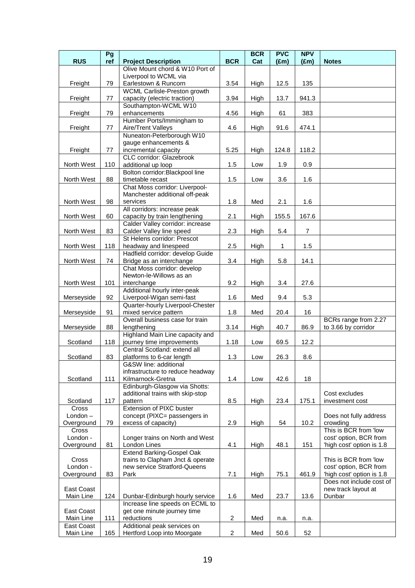| <b>RUS</b>   | Pg<br>ref | <b>Project Description</b>                                    | <b>BCR</b>     | <b>BCR</b><br>Cat | <b>PVC</b><br>$(\text{Em})$ | <b>NPV</b><br>$(\text{Em})$ | <b>Notes</b>              |
|--------------|-----------|---------------------------------------------------------------|----------------|-------------------|-----------------------------|-----------------------------|---------------------------|
|              |           | Olive Mount chord & W10 Port of                               |                |                   |                             |                             |                           |
|              |           | Liverpool to WCML via                                         |                |                   |                             |                             |                           |
| Freight      | 79        | Earlestown & Runcorn                                          | 3.54           | High              | 12.5                        | 135                         |                           |
|              |           | WCML Carlisle-Preston growth                                  |                |                   |                             |                             |                           |
| Freight      | 77        | capacity (electric traction)                                  | 3.94           | High              | 13.7                        | 941.3                       |                           |
|              |           | Southampton-WCML W10                                          |                |                   |                             |                             |                           |
| Freight      | 79        | enhancements                                                  | 4.56           | High              | 61                          | 383                         |                           |
|              |           | Humber Ports/Immingham to                                     |                |                   |                             |                             |                           |
| Freight      | 77        | Aire/Trent Valleys                                            | 4.6            | High              | 91.6                        | 474.1                       |                           |
|              |           | Nuneaton-Peterborough W10                                     |                |                   |                             |                             |                           |
|              |           | gauge enhancements &                                          |                |                   |                             |                             |                           |
| Freight      | 77        | incremental capacity<br>CLC corridor: Glazebrook              | 5.25           | High              | 124.8                       | 118.2                       |                           |
| North West   | 110       | additional up loop                                            | 1.5            | Low               | 1.9                         | 0.9                         |                           |
|              |           | Bolton corridor: Blackpool line                               |                |                   |                             |                             |                           |
| North West   | 88        | timetable recast                                              | 1.5            | Low               | 3.6                         | 1.6                         |                           |
|              |           | Chat Moss corridor: Liverpool-                                |                |                   |                             |                             |                           |
|              |           | Manchester additional off-peak                                |                |                   |                             |                             |                           |
| North West   | 98        | services                                                      | 1.8            | Med               | 2.1                         | 1.6                         |                           |
|              |           | All corridors: increase peak                                  |                |                   |                             |                             |                           |
| North West   | 60        | capacity by train lengthening                                 | 2.1            | High              | 155.5                       | 167.6                       |                           |
|              |           | Calder Valley corridor: increase                              |                |                   |                             |                             |                           |
| North West   | 83        | Calder Valley line speed                                      | 2.3            | High              | 5.4                         | $\overline{7}$              |                           |
|              |           | St Helens corridor: Prescot                                   |                |                   |                             |                             |                           |
| North West   | 118       | headway and linespeed                                         | 2.5            | High              | $\mathbf{1}$                | 1.5                         |                           |
|              |           | Hadfield corridor: develop Guide                              |                |                   |                             |                             |                           |
| North West   | 74        | Bridge as an interchange                                      | 3.4            | High              | 5.8                         | 14.1                        |                           |
|              |           | Chat Moss corridor: develop<br>Newton-le-Willows as an        |                |                   |                             |                             |                           |
| North West   | 101       | interchange                                                   | 9.2            | High              | 3.4                         | 27.6                        |                           |
|              |           | Additional hourly inter-peak                                  |                |                   |                             |                             |                           |
| Merseyside   | 92        | Liverpool-Wigan semi-fast                                     | 1.6            | Med               | 9.4                         | 5.3                         |                           |
|              |           | Quarter-hourly Liverpool-Chester                              |                |                   |                             |                             |                           |
| Merseyside   | 91        | mixed service pattern                                         | 1.8            | Med               | 20.4                        | 16                          |                           |
|              |           | Overall business case for train                               |                |                   |                             |                             | BCRs range from 2.27      |
| Merseyside   | 88        | lengthening                                                   | 3.14           | High              | 40.7                        | 86.9                        | to 3.66 by corridor       |
|              |           | Highland Main Line capacity and                               |                |                   |                             |                             |                           |
| Scotland     | 118       | journey time improvements                                     | 1.18           | Low               | 69.5                        | 12.2                        |                           |
|              |           | Central Scotland: extend all                                  |                |                   |                             |                             |                           |
| Scotland     | 83        | platforms to 6-car length                                     | 1.3            | Low               | 26.3                        | 8.6                         |                           |
|              |           | G&SW line: additional<br>infrastructure to reduce headway     |                |                   |                             |                             |                           |
| Scotland     | 111       | Kilmarnock-Gretna                                             | 1.4            | Low               | 42.6                        | 18                          |                           |
|              |           | Edinburgh-Glasgow via Shotts:                                 |                |                   |                             |                             |                           |
|              |           | additional trains with skip-stop                              |                |                   |                             |                             | Cost excludes             |
| Scotland     | 117       | pattern                                                       | 8.5            | High              | 23.4                        | 175.1                       | investment cost           |
| Cross        |           | Extension of PIXC buster                                      |                |                   |                             |                             |                           |
| London-      |           | concept (PIXC= passengers in                                  |                |                   |                             |                             | Does not fully address    |
| Overground   | 79        | excess of capacity)                                           | 2.9            | High              | 54                          | 10.2                        | crowding                  |
| Cross        |           |                                                               |                |                   |                             |                             | This is BCR from 'low     |
| London -     |           | Longer trains on North and West                               |                |                   |                             |                             | cost' option, BCR from    |
| Overground   | 81        | London Lines                                                  | 4.1            | High              | 48.1                        | 151                         | 'high cost' option is 1.8 |
| <b>Cross</b> |           | Extend Barking-Gospel Oak<br>trains to Clapham Jnct & operate |                |                   |                             |                             | This is BCR from 'low     |
| London -     |           | new service Stratford-Queens                                  |                |                   |                             |                             | cost' option, BCR from    |
| Overground   | 83        | Park                                                          | 7.1            | High              | 75.1                        | 461.9                       | 'high cost' option is 1.8 |
|              |           |                                                               |                |                   |                             |                             | Does not include cost of  |
| East Coast   |           |                                                               |                |                   |                             |                             | new track layout at       |
| Main Line    | 124       | Dunbar-Edinburgh hourly service                               | 1.6            | Med               | 23.7                        | 13.6                        | Dunbar                    |
|              |           | Increase line speeds on ECML to                               |                |                   |                             |                             |                           |
| East Coast   |           | get one minute journey time                                   |                |                   |                             |                             |                           |
| Main Line    | 111       | reductions                                                    | $\overline{c}$ | Med               | n.a.                        | n.a.                        |                           |
| East Coast   |           | Additional peak services on                                   |                |                   |                             |                             |                           |
| Main Line    | 165       | Hertford Loop into Moorgate                                   | $\overline{c}$ | Med               | 50.6                        | 52                          |                           |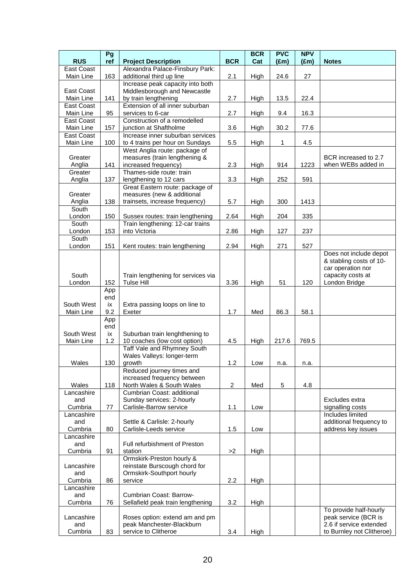|                         | Pg         |                                                                |                | <b>BCR</b> | <b>PVC</b>    | <b>NPV</b>    |                           |
|-------------------------|------------|----------------------------------------------------------------|----------------|------------|---------------|---------------|---------------------------|
| <b>RUS</b>              | ref        | <b>Project Description</b>                                     | <b>BCR</b>     | Cat        | $(\text{Em})$ | $(\text{Em})$ | <b>Notes</b>              |
| East Coast<br>Main Line | 163        | Alexandra Palace-Finsbury Park:<br>additional third up line    |                |            |               | 27            |                           |
|                         |            | Increase peak capacity into both                               | 2.1            | High       | 24.6          |               |                           |
| East Coast              |            | Middlesborough and Newcastle                                   |                |            |               |               |                           |
| Main Line               | 141        | by train lengthening                                           | 2.7            | High       | 13.5          | 22.4          |                           |
| East Coast              |            | Extension of all inner suburban                                |                |            |               |               |                           |
| Main Line               | 95         | services to 6-car                                              | 2.7            | High       | 9.4           | 16.3          |                           |
| East Coast              |            | Construction of a remodelled                                   |                |            |               |               |                           |
| Main Line<br>East Coast | 157        | junction at Shaftholme<br>Increase inner suburban services     | 3.6            | High       | 30.2          | 77.6          |                           |
| Main Line               | 100        | to 4 trains per hour on Sundays                                | 5.5            | High       | 1             | 4.5           |                           |
|                         |            | West Anglia route: package of                                  |                |            |               |               |                           |
| Greater                 |            | measures (train lengthening &                                  |                |            |               |               | BCR increased to 2.7      |
| Anglia                  | 141        | increased frequency)                                           | 2.3            | High       | 914           | 1223          | when WEBs added in        |
| Greater                 |            | Thames-side route: train                                       |                |            |               |               |                           |
| Anglia                  | 137        | lengthening to 12 cars<br>Great Eastern route: package of      | 3.3            | High       | 252           | 591           |                           |
| Greater                 |            | measures (new & additional                                     |                |            |               |               |                           |
| Anglia                  | 138        | trainsets, increase frequency)                                 | 5.7            | High       | 300           | 1413          |                           |
| South                   |            |                                                                |                |            |               |               |                           |
| London                  | 150        | Sussex routes: train lengthening                               | 2.64           | High       | 204           | 335           |                           |
| South                   |            | Train lengthening: 12-car trains                               |                |            |               |               |                           |
| London<br>South         | 153        | into Victoria                                                  | 2.86           | High       | 127           | 237           |                           |
| London                  | 151        | Kent routes: train lengthening                                 | 2.94           | High       | 271           | 527           |                           |
|                         |            |                                                                |                |            |               |               | Does not include depot    |
|                         |            |                                                                |                |            |               |               | & stabling costs of 10-   |
|                         |            |                                                                |                |            |               |               | car operation nor         |
| South                   |            | Train lengthening for services via                             |                |            |               |               | capacity costs at         |
| London                  | 152<br>App | <b>Tulse Hill</b>                                              | 3.36           | High       | 51            | 120           | London Bridge             |
|                         | end        |                                                                |                |            |               |               |                           |
| South West              | ix         | Extra passing loops on line to                                 |                |            |               |               |                           |
| Main Line               | 9.2        | Exeter                                                         | 1.7            | Med        | 86.3          | 58.1          |                           |
|                         | App        |                                                                |                |            |               |               |                           |
| South West              | end        |                                                                |                |            |               |               |                           |
| Main Line               | ix<br>1.2  | Suburban train lenghthening to<br>10 coaches (low cost option) | 4.5            | High       | 217.6         | 769.5         |                           |
|                         |            | Taff Vale and Rhymney South                                    |                |            |               |               |                           |
|                         |            | Wales Valleys: longer-term                                     |                |            |               |               |                           |
| Wales                   | 130        | growth                                                         | 1.2            | Low        | n.a.          | n.a.          |                           |
|                         |            | Reduced journey times and                                      |                |            |               |               |                           |
| Wales                   | 118        | increased frequency between<br>North Wales & South Wales       | $\overline{c}$ | Med        | 5             | 4.8           |                           |
| Lancashire              |            | Cumbrian Coast: additional                                     |                |            |               |               |                           |
| and                     |            | Sunday services: 2-hourly                                      |                |            |               |               | Excludes extra            |
| Cumbria                 | 77         | Carlisle-Barrow service                                        | 1.1            | Low        |               |               | signalling costs          |
| Lancashire              |            |                                                                |                |            |               |               | Includes limited          |
| and                     |            | Settle & Carlisle: 2-hourly                                    |                |            |               |               | additional frequency to   |
| Cumbria                 | 80         | Carlisle-Leeds service                                         | 1.5            | Low        |               |               | address key issues        |
| Lancashire<br>and       |            | Full refurbishment of Preston                                  |                |            |               |               |                           |
| Cumbria                 | 91         | station                                                        | >2             | High       |               |               |                           |
|                         |            | Ormskirk-Preston hourly &                                      |                |            |               |               |                           |
| Lancashire              |            | reinstate Burscough chord for                                  |                |            |               |               |                           |
| and                     |            | Ormskirk-Southport hourly                                      |                |            |               |               |                           |
| Cumbria                 | 86         | service                                                        | 2.2            | High       |               |               |                           |
| Lancashire<br>and       |            | Cumbrian Coast: Barrow-                                        |                |            |               |               |                           |
| Cumbria                 | 76         | Sellafield peak train lengthening                              | 3.2            | High       |               |               |                           |
|                         |            |                                                                |                |            |               |               | To provide half-hourly    |
| Lancashire              |            | Roses option: extend am and pm                                 |                |            |               |               | peak service (BCR is      |
| and                     |            | peak Manchester-Blackburn                                      |                |            |               |               | 2.6 if service extended   |
| Cumbria                 | 83         | service to Clitheroe                                           | 3.4            | High       |               |               | to Burnley not Clitheroe) |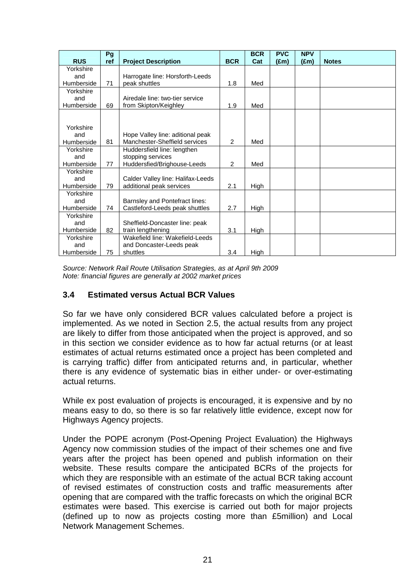|                   | Pg  |                                                                   |            | <b>BCR</b> | <b>PVC</b> | <b>NPV</b>    |              |
|-------------------|-----|-------------------------------------------------------------------|------------|------------|------------|---------------|--------------|
| <b>RUS</b>        | ref | <b>Project Description</b>                                        | <b>BCR</b> | Cat        | (£m)       | $(\text{Em})$ | <b>Notes</b> |
| Yorkshire         |     |                                                                   |            |            |            |               |              |
| and               |     | Harrogate line: Horsforth-Leeds                                   |            |            |            |               |              |
| Humberside        | 71  | peak shuttles                                                     | 1.8        | Med        |            |               |              |
| Yorkshire         |     |                                                                   |            |            |            |               |              |
| and               |     | Airedale line: two-tier service                                   |            |            |            |               |              |
| Humberside        | 69  | from Skipton/Keighley                                             | 1.9        | Med        |            |               |              |
|                   |     |                                                                   |            |            |            |               |              |
|                   |     |                                                                   |            |            |            |               |              |
| Yorkshire         |     |                                                                   |            |            |            |               |              |
| and<br>Humberside | 81  | Hope Valley line: aditional peak<br>Manchester-Sheffield services | 2          | Med        |            |               |              |
| Yorkshire         |     |                                                                   |            |            |            |               |              |
| and               |     | Huddersfield line: lengthen<br>stopping services                  |            |            |            |               |              |
| Humberside        | 77  | Huddersfied/Brighouse-Leeds                                       | 2          | Med        |            |               |              |
| Yorkshire         |     |                                                                   |            |            |            |               |              |
| and               |     | Calder Valley line: Halifax-Leeds                                 |            |            |            |               |              |
| Humberside        | 79  | additional peak services                                          | 2.1        | High       |            |               |              |
| Yorkshire         |     |                                                                   |            |            |            |               |              |
| and               |     | Barnsley and Pontefract lines:                                    |            |            |            |               |              |
| Humberside        | 74  | Castleford-Leeds peak shuttles                                    | 2.7        | High       |            |               |              |
| Yorkshire         |     |                                                                   |            |            |            |               |              |
| and               |     | Sheffield-Doncaster line: peak                                    |            |            |            |               |              |
| Humberside        | 82  | train lengthening                                                 | 3.1        | High       |            |               |              |
| Yorkshire         |     | Wakefield line: Wakefield-Leeds                                   |            |            |            |               |              |
| and               |     | and Doncaster-Leeds peak                                          |            |            |            |               |              |
| Humberside        | 75  | shuttles                                                          | 3.4        | High       |            |               |              |

Source: Network Rail Route Utilisation Strategies, as at April 9th 2009 Note: financial figures are generally at 2002 market prices

## **3.4 Estimated versus Actual BCR Values**

So far we have only considered BCR values calculated before a project is implemented. As we noted in Section 2.5, the actual results from any project are likely to differ from those anticipated when the project is approved, and so in this section we consider evidence as to how far actual returns (or at least estimates of actual returns estimated once a project has been completed and is carrying traffic) differ from anticipated returns and, in particular, whether there is any evidence of systematic bias in either under- or over-estimating actual returns.

While ex post evaluation of projects is encouraged, it is expensive and by no means easy to do, so there is so far relatively little evidence, except now for Highways Agency projects.

Under the POPE acronym (Post-Opening Project Evaluation) the Highways Agency now commission studies of the impact of their schemes one and five years after the project has been opened and publish information on their website. These results compare the anticipated BCRs of the projects for which they are responsible with an estimate of the actual BCR taking account of revised estimates of construction costs and traffic measurements after opening that are compared with the traffic forecasts on which the original BCR estimates were based. This exercise is carried out both for major projects (defined up to now as projects costing more than £5million) and Local Network Management Schemes.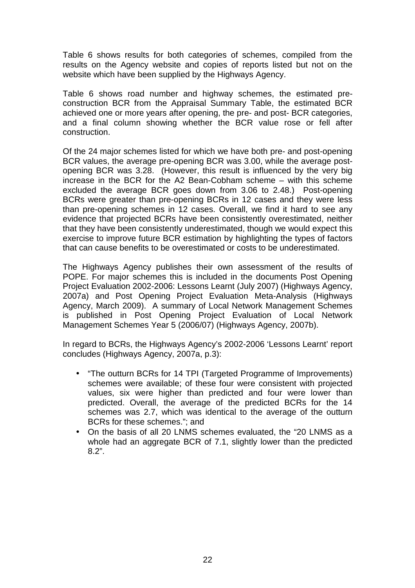Table 6 shows results for both categories of schemes, compiled from the results on the Agency website and copies of reports listed but not on the website which have been supplied by the Highways Agency.

Table 6 shows road number and highway schemes, the estimated preconstruction BCR from the Appraisal Summary Table, the estimated BCR achieved one or more years after opening, the pre- and post- BCR categories, and a final column showing whether the BCR value rose or fell after construction.

Of the 24 major schemes listed for which we have both pre- and post-opening BCR values, the average pre-opening BCR was 3.00, while the average postopening BCR was 3.28. (However, this result is influenced by the very big increase in the BCR for the A2 Bean-Cobham scheme – with this scheme excluded the average BCR goes down from 3.06 to 2.48.) Post-opening BCRs were greater than pre-opening BCRs in 12 cases and they were less than pre-opening schemes in 12 cases. Overall, we find it hard to see any evidence that projected BCRs have been consistently overestimated, neither that they have been consistently underestimated, though we would expect this exercise to improve future BCR estimation by highlighting the types of factors that can cause benefits to be overestimated or costs to be underestimated.

The Highways Agency publishes their own assessment of the results of POPE. For major schemes this is included in the documents Post Opening Project Evaluation 2002-2006: Lessons Learnt (July 2007) (Highways Agency, 2007a) and Post Opening Project Evaluation Meta-Analysis (Highways Agency, March 2009). A summary of Local Network Management Schemes is published in Post Opening Project Evaluation of Local Network Management Schemes Year 5 (2006/07) (Highways Agency, 2007b).

In regard to BCRs, the Highways Agency's 2002-2006 'Lessons Learnt' report concludes (Highways Agency, 2007a, p.3):

- "The outturn BCRs for 14 TPI (Targeted Programme of Improvements) schemes were available; of these four were consistent with projected values, six were higher than predicted and four were lower than predicted. Overall, the average of the predicted BCRs for the 14 schemes was 2.7, which was identical to the average of the outturn BCRs for these schemes."; and
- On the basis of all 20 LNMS schemes evaluated, the "20 LNMS as a whole had an aggregate BCR of 7.1, slightly lower than the predicted 8.2".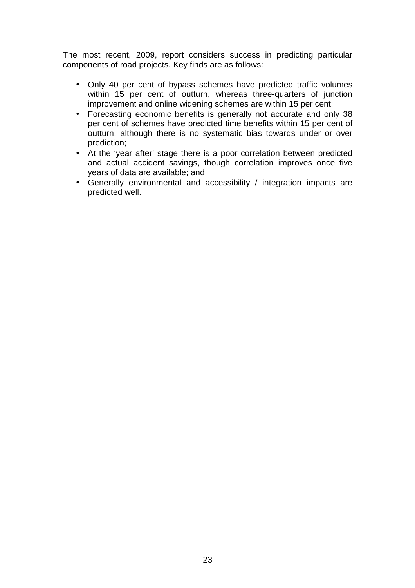The most recent, 2009, report considers success in predicting particular components of road projects. Key finds are as follows:

- Only 40 per cent of bypass schemes have predicted traffic volumes within 15 per cent of outturn, whereas three-quarters of junction improvement and online widening schemes are within 15 per cent;
- Forecasting economic benefits is generally not accurate and only 38 per cent of schemes have predicted time benefits within 15 per cent of outturn, although there is no systematic bias towards under or over prediction;
- At the 'year after' stage there is a poor correlation between predicted and actual accident savings, though correlation improves once five years of data are available; and
- Generally environmental and accessibility / integration impacts are predicted well.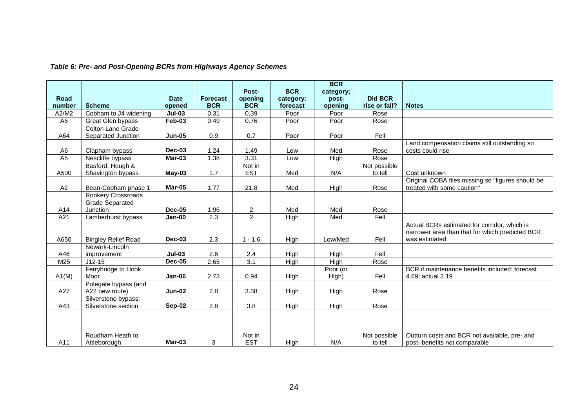|                 |                            |               |                  |                  |             | <b>BCR</b>  |                |                                                   |
|-----------------|----------------------------|---------------|------------------|------------------|-------------|-------------|----------------|---------------------------------------------------|
|                 |                            |               |                  | Post-            | <b>BCR</b>  | category;   |                |                                                   |
| Road            |                            | <b>Date</b>   | <b>Forecast</b>  | opening          | category:   | post-       | <b>Did BCR</b> |                                                   |
| number          | <b>Scheme</b>              | opened        | <b>BCR</b>       | <b>BCR</b>       | forecast    | opening     | rise or fall?  | <b>Notes</b>                                      |
| A2/M2           | Cobham to J4 widening      | $Jul-03$      | 0.31             | 0.39             | Poor        | Poor        | Rose           |                                                   |
| A <sub>6</sub>  | Great Glen bypass          | <b>Feb-03</b> | 0.49             | 0.76             | Poor        | Poor        | Rose           |                                                   |
|                 | <b>Colton Lane Grade</b>   |               |                  |                  |             |             |                |                                                   |
| A64             | Separated Junction         | <b>Jun-05</b> | 0.9              | 0.7              | Poor        | Poor        | Fell           |                                                   |
|                 |                            |               |                  |                  |             |             |                | Land compensation claims still outstanding so     |
| A <sub>6</sub>  | Clapham bypass             | Dec-03        | 1.24             | 1.49             | Low         | Med         | Rose           | costs could rise                                  |
| $\overline{A5}$ | Nescliffe bypass           | Mar-03        | 1.38             | 3.31             | Low         | High        | Rose           |                                                   |
|                 | Basford, Hough &           |               |                  | Not in           |             |             | Not possible   |                                                   |
| A500            | Shavington bypass          | $May-03$      | 1.7              | <b>EST</b>       | Med         | N/A         | to tell        | Cost unknown                                      |
|                 |                            |               |                  |                  |             |             |                | Original COBA files missing so "figures should be |
| A2              | Bean-Cobham phase 1        | Mar-05        | 1.77             | 21.8             | Med         | High        | Rose           | treated with some caution"                        |
|                 | Rookery Crossroads         |               |                  |                  |             |             |                |                                                   |
|                 | <b>Grade Separated</b>     |               |                  |                  |             |             |                |                                                   |
| A14             | Junction                   | <b>Dec-05</b> | 1.96             | $\overline{2}$   | Med         | Med         | Rose           |                                                   |
| A21             | Lamberhurst bypass         | <b>Jan-00</b> | $\overline{2.3}$ | $\overline{2}$   | High        | Med         | Fell           |                                                   |
|                 |                            |               |                  |                  |             |             |                | Actual BCRs estimated for corridor, which is      |
|                 |                            |               |                  |                  |             |             |                | narrower area than that for which predicted BCR   |
| A650            | <b>Bingley Relief Road</b> | Dec-03        | 2.3              | $1 - 1.6$        | High        | Low/Med     | Fell           | was estimated                                     |
|                 | Newark-Lincoln             |               |                  |                  |             |             |                |                                                   |
| A46             | improvement                | $Jul-03$      | 2.6              | 2.4              | High        | High        | Fell           |                                                   |
| M25             | $J12-15$                   | <b>Dec-05</b> | 2.65             | $\overline{3.1}$ | <b>High</b> | <b>High</b> | Rose           |                                                   |
|                 | Ferrybridge to Hook        |               |                  |                  |             | Poor (or    |                | BCR if maintenance benefits included: forecast    |
| A1(M)           | Moor                       | Jan-06        | 2.73             | 0.94             | High        | High)       | Fell           | 4.69; actual 3.19                                 |
|                 | Polegate bypass (and       |               |                  |                  |             |             |                |                                                   |
| A27             | A22 new route)             | <b>Jun-02</b> | 2.8              | 3.38             | High        | High        | Rose           |                                                   |
|                 | Silverstone bypass:        |               |                  |                  |             |             |                |                                                   |
| A43             | Silverstone section        | $Sep-02$      | 2.8              | 3.8              | High        | High        | Rose           |                                                   |
|                 |                            |               |                  |                  |             |             |                |                                                   |
|                 |                            |               |                  |                  |             |             |                |                                                   |
|                 |                            |               |                  |                  |             |             |                |                                                   |
|                 | Roudham Heath to           |               |                  | Not in           |             |             | Not possible   | Outturn costs and BCR not available, pre- and     |
| A11             | Attleborough               | Mar-03        | 3                | <b>EST</b>       | High        | N/A         | to tell        | post- benefits not comparable                     |

# **Table 6: Pre- and Post-Opening BCRs from Highways Agency Schemes**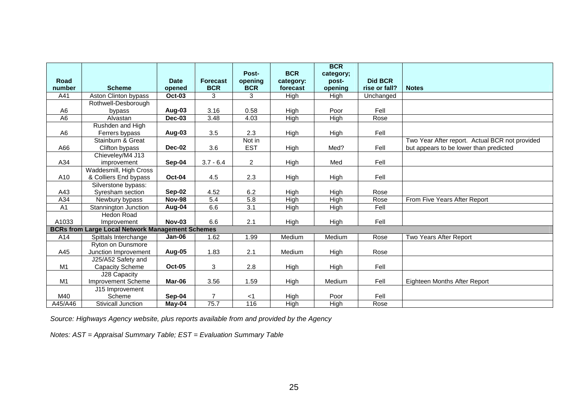|                |                                                         |               |                 | Post-          | <b>BCR</b>  | <b>BCR</b><br>category; |                |                                                |
|----------------|---------------------------------------------------------|---------------|-----------------|----------------|-------------|-------------------------|----------------|------------------------------------------------|
| Road           |                                                         | <b>Date</b>   | <b>Forecast</b> | opening        | category:   | post-                   | <b>Did BCR</b> |                                                |
| number         | <b>Scheme</b>                                           | opened        | <b>BCR</b>      | <b>BCR</b>     | forecast    | opening                 | rise or fall?  | <b>Notes</b>                                   |
| A41            | Aston Clinton bypass                                    | <b>Oct-03</b> | 3               | 3              | High        | High                    | Unchanged      |                                                |
|                | Rothwell-Desborough                                     |               |                 |                |             |                         |                |                                                |
| A6             | bypass                                                  | Aug-03        | 3.16            | 0.58           | High        | Poor                    | Fell           |                                                |
| A <sub>6</sub> | Alvastan                                                | Dec-03        | 3.48            | 4.03           | High        | High                    | Rose           |                                                |
|                | Rushden and High                                        |               |                 |                |             |                         |                |                                                |
| A <sub>6</sub> | Ferrers bypass                                          | Aug-03        | 3.5             | 2.3            | High        | High                    | Fell           |                                                |
|                | Stainburn & Great                                       |               |                 | Not in         |             |                         |                | Two Year After report. Actual BCR not provided |
| A66            | Clifton bypass                                          | Dec-02        | 3.6             | <b>EST</b>     | High        | Med?                    | Fell           | but appears to be lower than predicted         |
|                | Chieveley/M4 J13                                        |               |                 |                |             |                         |                |                                                |
| A34            | improvement                                             | Sep-04        | $3.7 - 6.4$     | $\overline{2}$ | High        | Med                     | Fell           |                                                |
|                | Waddesmill, High Cross                                  |               |                 |                |             |                         |                |                                                |
| A10            | & Colliers End bypass                                   | <b>Oct-04</b> | 4.5             | 2.3            | High        | High                    | Fell           |                                                |
|                | Silverstone bypass:                                     |               |                 |                |             |                         |                |                                                |
| A43            | Syresham section                                        | Sep-02        | 4.52            | 6.2            | High        | High                    | Rose           |                                                |
| A34            | Newbury bypass                                          | <b>Nov-98</b> | 5.4             | 5.8            | <b>High</b> | High                    | Rose           | From Five Years After Report                   |
| A <sub>1</sub> | Stannington Junction                                    | Aug-04        | 6.6             | 3.1            | High        | High                    | Fell           |                                                |
|                | <b>Hedon Road</b>                                       |               |                 |                |             |                         |                |                                                |
| A1033          | Improvement                                             | <b>Nov-03</b> | 6.6             | 2.1            | High        | High                    | Fell           |                                                |
|                | <b>BCRs from Large Local Network Management Schemes</b> |               |                 |                |             |                         |                |                                                |
| A14            | Spittals Interchange                                    | Jan-06        | 1.62            | 1.99           | Medium      | Medium                  | Rose           | Two Years After Report                         |
|                | Ryton on Dunsmore                                       |               |                 |                |             |                         |                |                                                |
| A45            | Junction Improvement                                    | Aug-05        | 1.83            | 2.1            | Medium      | High                    | Rose           |                                                |
|                | J25/A52 Safety and                                      |               |                 |                |             |                         |                |                                                |
| M1             | <b>Capacity Scheme</b>                                  | <b>Oct-05</b> | 3               | 2.8            | High        | High                    | Fell           |                                                |
|                | J28 Capacity                                            |               |                 |                |             |                         |                |                                                |
| M1             | <b>Improvement Scheme</b>                               | Mar-06        | 3.56            | 1.59           | High        | Medium                  | Fell           | Eighteen Months After Report                   |
|                | J15 Improvement                                         |               |                 |                |             |                         |                |                                                |
| M40            | Scheme                                                  | Sep-04        | $\overline{7}$  | $<$ 1          | High        | Poor                    | Fell           |                                                |
| A45/A46        | Stivicall Junction                                      | $M$ ay-04     | 75.7            | 116            | High        | High                    | Rose           |                                                |

Source: Highways Agency website, plus reports available from and provided by the Agency

Notes: AST = Appraisal Summary Table; EST = Evaluation Summary Table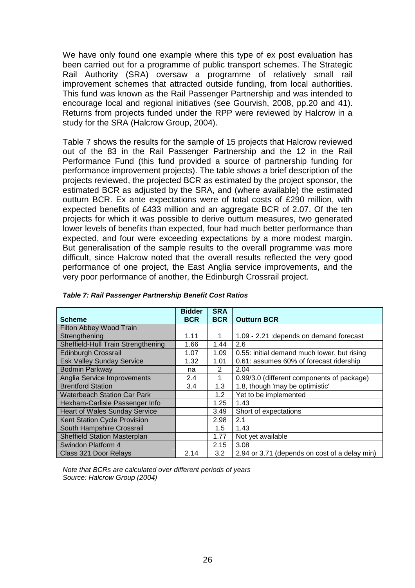We have only found one example where this type of ex post evaluation has been carried out for a programme of public transport schemes. The Strategic Rail Authority (SRA) oversaw a programme of relatively small rail improvement schemes that attracted outside funding, from local authorities. This fund was known as the Rail Passenger Partnership and was intended to encourage local and regional initiatives (see Gourvish, 2008, pp.20 and 41). Returns from projects funded under the RPP were reviewed by Halcrow in a study for the SRA (Halcrow Group, 2004).

Table 7 shows the results for the sample of 15 projects that Halcrow reviewed out of the 83 in the Rail Passenger Partnership and the 12 in the Rail Performance Fund (this fund provided a source of partnership funding for performance improvement projects). The table shows a brief description of the projects reviewed, the projected BCR as estimated by the project sponsor, the estimated BCR as adjusted by the SRA, and (where available) the estimated outturn BCR. Ex ante expectations were of total costs of £290 million, with expected benefits of £433 million and an aggregate BCR of 2.07. Of the ten projects for which it was possible to derive outturn measures, two generated lower levels of benefits than expected, four had much better performance than expected, and four were exceeding expectations by a more modest margin. But generalisation of the sample results to the overall programme was more difficult, since Halcrow noted that the overall results reflected the very good performance of one project, the East Anglia service improvements, and the very poor performance of another, the Edinburgh Crossrail project.

|                                      | <b>Bidder</b> | <b>SRA</b> |                                               |
|--------------------------------------|---------------|------------|-----------------------------------------------|
| <b>Scheme</b>                        | <b>BCR</b>    | <b>BCR</b> | <b>Outturn BCR</b>                            |
| <b>Filton Abbey Wood Train</b>       |               |            |                                               |
| Strengthening                        | 1.11          |            | 1.09 - 2.21 : depends on demand forecast      |
| Sheffield-Hull Train Strengthening   | 1.66          | 1.44       | 2.6                                           |
| <b>Edinburgh Crossrail</b>           | 1.07          | 1.09       | 0.55: initial demand much lower, but rising   |
| <b>Esk Valley Sunday Service</b>     | 1.32          | 1.01       | 0.61: assumes 60% of forecast ridership       |
| <b>Bodmin Parkway</b>                | na            | 2          | 2.04                                          |
| <b>Anglia Service Improvements</b>   | 2.4           |            | 0.99/3.0 (different components of package)    |
| <b>Brentford Station</b>             | 3.4           | 1.3        | 1.8, though 'may be optimistic'               |
| <b>Waterbeach Station Car Park</b>   |               | 1.2        | Yet to be implemented                         |
| Hexham-Carlisle Passenger Info       |               | 1.25       | 1.43                                          |
| <b>Heart of Wales Sunday Service</b> |               | 3.49       | Short of expectations                         |
| Kent Station Cycle Provision         |               | 2.98       | 2.1                                           |
| South Hampshire Crossrail            |               | 1.5        | 1.43                                          |
| <b>Sheffield Station Masterplan</b>  |               | 1.77       | Not yet available                             |
| Swindon Platform 4                   |               | 2.15       | 3.08                                          |
| Class 321 Door Relays                | 2.14          | 3.2        | 2.94 or 3.71 (depends on cost of a delay min) |

|  | Table 7: Rail Passenger Partnership Benefit Cost Ratios |  |
|--|---------------------------------------------------------|--|

Note that BCRs are calculated over different periods of years Source: Halcrow Group (2004)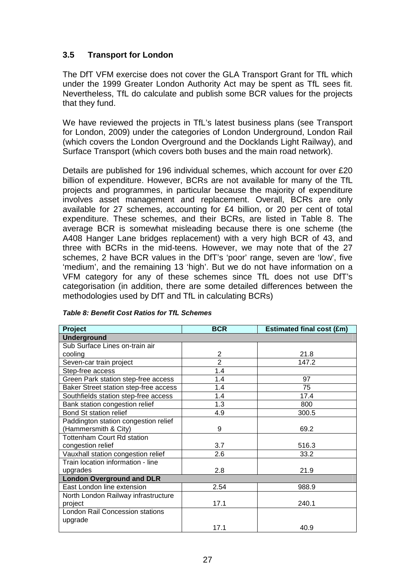# **3.5 Transport for London**

The DfT VFM exercise does not cover the GLA Transport Grant for TfL which under the 1999 Greater London Authority Act may be spent as TfL sees fit. Nevertheless, TfL do calculate and publish some BCR values for the projects that they fund.

We have reviewed the projects in TfL's latest business plans (see Transport for London, 2009) under the categories of London Underground, London Rail (which covers the London Overground and the Docklands Light Railway), and Surface Transport (which covers both buses and the main road network).

Details are published for 196 individual schemes, which account for over £20 billion of expenditure. However, BCRs are not available for many of the TfL projects and programmes, in particular because the majority of expenditure involves asset management and replacement. Overall, BCRs are only available for 27 schemes, accounting for £4 billion, or 20 per cent of total expenditure. These schemes, and their BCRs, are listed in Table 8. The average BCR is somewhat misleading because there is one scheme (the A408 Hanger Lane bridges replacement) with a very high BCR of 43, and three with BCRs in the mid-teens. However, we may note that of the 27 schemes, 2 have BCR values in the DfT's 'poor' range, seven are 'low', five 'medium', and the remaining 13 'high'. But we do not have information on a VFM category for any of these schemes since TfL does not use DfT's categorisation (in addition, there are some detailed differences between the methodologies used by DfT and TfL in calculating BCRs)

| Project                               | <b>BCR</b>     | <b>Estimated final cost (£m)</b> |  |  |  |  |  |  |
|---------------------------------------|----------------|----------------------------------|--|--|--|--|--|--|
| <b>Underground</b>                    |                |                                  |  |  |  |  |  |  |
| Sub Surface Lines on-train air        |                |                                  |  |  |  |  |  |  |
| cooling                               | 2              | 21.8                             |  |  |  |  |  |  |
| Seven-car train project               | $\overline{2}$ | 147.2                            |  |  |  |  |  |  |
| Step-free access                      | 1.4            |                                  |  |  |  |  |  |  |
| Green Park station step-free access   | 1.4            | 97                               |  |  |  |  |  |  |
| Baker Street station step-free access | 1.4            | 75                               |  |  |  |  |  |  |
| Southfields station step-free access  | 1.4            | 17.4                             |  |  |  |  |  |  |
| Bank station congestion relief        | 1.3            | 800                              |  |  |  |  |  |  |
| Bond St station relief                | 4.9            | 300.5                            |  |  |  |  |  |  |
| Paddington station congestion relief  |                |                                  |  |  |  |  |  |  |
| (Hammersmith & City)                  | 9              | 69.2                             |  |  |  |  |  |  |
| <b>Tottenham Court Rd station</b>     |                |                                  |  |  |  |  |  |  |
| congestion relief                     | 3.7            | 516.3                            |  |  |  |  |  |  |
| Vauxhall station congestion relief    | 2.6            | 33.2                             |  |  |  |  |  |  |
| Train location information - line     |                |                                  |  |  |  |  |  |  |
| upgrades                              | 2.8            | 21.9                             |  |  |  |  |  |  |
| <b>London Overground and DLR</b>      |                |                                  |  |  |  |  |  |  |
| East London line extension            | 2.54           | 988.9                            |  |  |  |  |  |  |
| North London Railway infrastructure   |                |                                  |  |  |  |  |  |  |
| project                               | 17.1           | 240.1                            |  |  |  |  |  |  |
| London Rail Concession stations       |                |                                  |  |  |  |  |  |  |
| upgrade                               |                |                                  |  |  |  |  |  |  |
|                                       | 17.1           | 40.9                             |  |  |  |  |  |  |

**Table 8: Benefit Cost Ratios for TfL Schemes**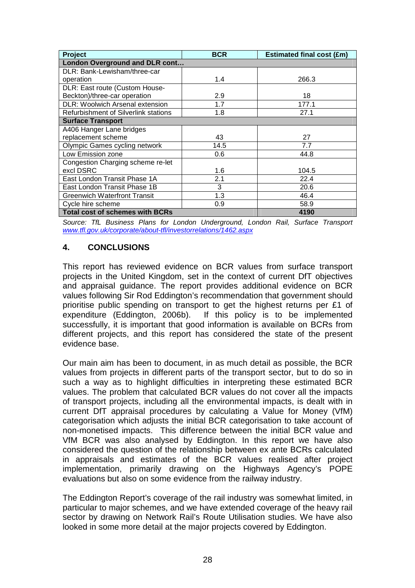| Project                                     | <b>BCR</b> | <b>Estimated final cost (£m)</b> |  |  |  |  |  |  |
|---------------------------------------------|------------|----------------------------------|--|--|--|--|--|--|
| London Overground and DLR cont              |            |                                  |  |  |  |  |  |  |
| DLR: Bank-Lewisham/three-car                |            |                                  |  |  |  |  |  |  |
| operation                                   | 1.4        | 266.3                            |  |  |  |  |  |  |
| DLR: East route (Custom House-              |            |                                  |  |  |  |  |  |  |
| Beckton)/three-car operation                | 2.9        | 18                               |  |  |  |  |  |  |
| <b>DLR: Woolwich Arsenal extension</b>      | 1.7        | 177.1                            |  |  |  |  |  |  |
| <b>Refurbishment of Silverlink stations</b> | 1.8        | 27.1                             |  |  |  |  |  |  |
| <b>Surface Transport</b>                    |            |                                  |  |  |  |  |  |  |
| A406 Hanger Lane bridges                    |            |                                  |  |  |  |  |  |  |
| replacement scheme                          | 43         | 27                               |  |  |  |  |  |  |
| Olympic Games cycling network               | 14.5       | 7.7                              |  |  |  |  |  |  |
| Low Emission zone                           | 0.6        | 44.8                             |  |  |  |  |  |  |
| Congestion Charging scheme re-let           |            |                                  |  |  |  |  |  |  |
| excl DSRC                                   | 1.6        | 104.5                            |  |  |  |  |  |  |
| East London Transit Phase 1A                | 2.1        | 22.4                             |  |  |  |  |  |  |
| East London Transit Phase 1B                | 3          | 20.6                             |  |  |  |  |  |  |
| <b>Greenwich Waterfront Transit</b>         | 1.3        | 46.4                             |  |  |  |  |  |  |
| Cycle hire scheme                           | 0.9        | 58.9                             |  |  |  |  |  |  |
| <b>Total cost of schemes with BCRs</b>      |            | 4190                             |  |  |  |  |  |  |

Source: TfL Business Plans for London Underground, London Rail, Surface Transport www.tfl.gov.uk/corporate/about-tfl/investorrelations/1462.aspx

#### **4. CONCLUSIONS**

This report has reviewed evidence on BCR values from surface transport projects in the United Kingdom, set in the context of current DfT objectives and appraisal guidance. The report provides additional evidence on BCR values following Sir Rod Eddington's recommendation that government should prioritise public spending on transport to get the highest returns per £1 of expenditure (Eddington, 2006b). If this policy is to be implemented successfully, it is important that good information is available on BCRs from different projects, and this report has considered the state of the present evidence base.

Our main aim has been to document, in as much detail as possible, the BCR values from projects in different parts of the transport sector, but to do so in such a way as to highlight difficulties in interpreting these estimated BCR values. The problem that calculated BCR values do not cover all the impacts of transport projects, including all the environmental impacts, is dealt with in current DfT appraisal procedures by calculating a Value for Money (VfM) categorisation which adjusts the initial BCR categorisation to take account of non-monetised impacts. This difference between the initial BCR value and VfM BCR was also analysed by Eddington. In this report we have also considered the question of the relationship between ex ante BCRs calculated in appraisals and estimates of the BCR values realised after project implementation, primarily drawing on the Highways Agency's POPE evaluations but also on some evidence from the railway industry.

The Eddington Report's coverage of the rail industry was somewhat limited, in particular to major schemes, and we have extended coverage of the heavy rail sector by drawing on Network Rail's Route Utilisation studies. We have also looked in some more detail at the major projects covered by Eddington.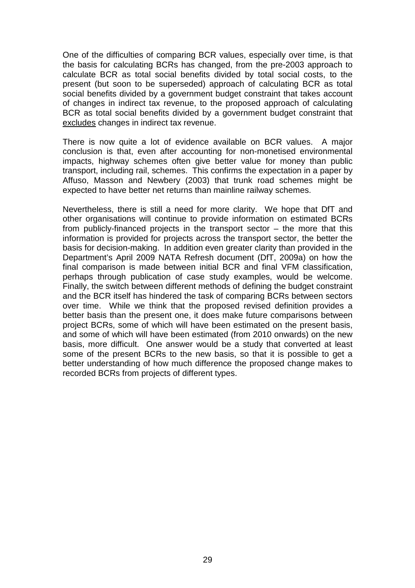One of the difficulties of comparing BCR values, especially over time, is that the basis for calculating BCRs has changed, from the pre-2003 approach to calculate BCR as total social benefits divided by total social costs, to the present (but soon to be superseded) approach of calculating BCR as total social benefits divided by a government budget constraint that takes account of changes in indirect tax revenue, to the proposed approach of calculating BCR as total social benefits divided by a government budget constraint that excludes changes in indirect tax revenue.

There is now quite a lot of evidence available on BCR values. A major conclusion is that, even after accounting for non-monetised environmental impacts, highway schemes often give better value for money than public transport, including rail, schemes. This confirms the expectation in a paper by Affuso, Masson and Newbery (2003) that trunk road schemes might be expected to have better net returns than mainline railway schemes.

Nevertheless, there is still a need for more clarity. We hope that DfT and other organisations will continue to provide information on estimated BCRs from publicly-financed projects in the transport sector – the more that this information is provided for projects across the transport sector, the better the basis for decision-making. In addition even greater clarity than provided in the Department's April 2009 NATA Refresh document (DfT, 2009a) on how the final comparison is made between initial BCR and final VFM classification, perhaps through publication of case study examples, would be welcome. Finally, the switch between different methods of defining the budget constraint and the BCR itself has hindered the task of comparing BCRs between sectors over time. While we think that the proposed revised definition provides a better basis than the present one, it does make future comparisons between project BCRs, some of which will have been estimated on the present basis, and some of which will have been estimated (from 2010 onwards) on the new basis, more difficult. One answer would be a study that converted at least some of the present BCRs to the new basis, so that it is possible to get a better understanding of how much difference the proposed change makes to recorded BCRs from projects of different types.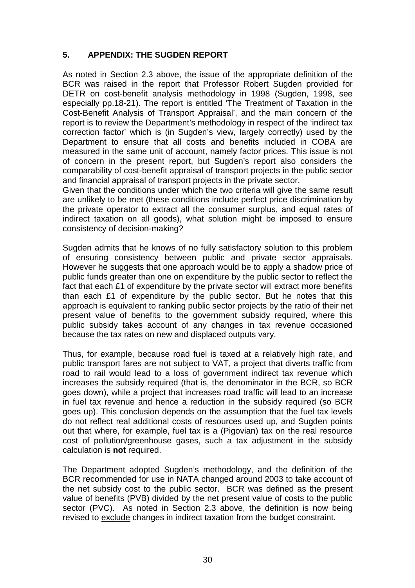# **5. APPENDIX: THE SUGDEN REPORT**

As noted in Section 2.3 above, the issue of the appropriate definition of the BCR was raised in the report that Professor Robert Sugden provided for DETR on cost-benefit analysis methodology in 1998 (Sugden, 1998, see especially pp.18-21). The report is entitled 'The Treatment of Taxation in the Cost-Benefit Analysis of Transport Appraisal', and the main concern of the report is to review the Department's methodology in respect of the 'indirect tax correction factor' which is (in Sugden's view, largely correctly) used by the Department to ensure that all costs and benefits included in COBA are measured in the same unit of account, namely factor prices. This issue is not of concern in the present report, but Sugden's report also considers the comparability of cost-benefit appraisal of transport projects in the public sector and financial appraisal of transport projects in the private sector.

Given that the conditions under which the two criteria will give the same result are unlikely to be met (these conditions include perfect price discrimination by the private operator to extract all the consumer surplus, and equal rates of indirect taxation on all goods), what solution might be imposed to ensure consistency of decision-making?

Sugden admits that he knows of no fully satisfactory solution to this problem of ensuring consistency between public and private sector appraisals. However he suggests that one approach would be to apply a shadow price of public funds greater than one on expenditure by the public sector to reflect the fact that each £1 of expenditure by the private sector will extract more benefits than each £1 of expenditure by the public sector. But he notes that this approach is equivalent to ranking public sector projects by the ratio of their net present value of benefits to the government subsidy required, where this public subsidy takes account of any changes in tax revenue occasioned because the tax rates on new and displaced outputs vary.

Thus, for example, because road fuel is taxed at a relatively high rate, and public transport fares are not subject to VAT, a project that diverts traffic from road to rail would lead to a loss of government indirect tax revenue which increases the subsidy required (that is, the denominator in the BCR, so BCR goes down), while a project that increases road traffic will lead to an increase in fuel tax revenue and hence a reduction in the subsidy required (so BCR goes up). This conclusion depends on the assumption that the fuel tax levels do not reflect real additional costs of resources used up, and Sugden points out that where, for example, fuel tax is a (Pigovian) tax on the real resource cost of pollution/greenhouse gases, such a tax adjustment in the subsidy calculation is **not** required.

The Department adopted Sugden's methodology, and the definition of the BCR recommended for use in NATA changed around 2003 to take account of the net subsidy cost to the public sector. BCR was defined as the present value of benefits (PVB) divided by the net present value of costs to the public sector (PVC). As noted in Section 2.3 above, the definition is now being revised to exclude changes in indirect taxation from the budget constraint.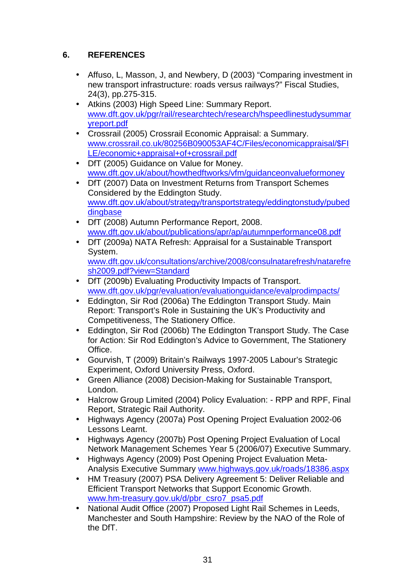# **6. REFERENCES**

- Affuso, L, Masson, J, and Newbery, D (2003) "Comparing investment in new transport infrastructure: roads versus railways?" Fiscal Studies, 24(3), pp.275-315.
- Atkins (2003) High Speed Line: Summary Report. www.dft.gov.uk/pgr/rail/researchtech/research/hspeedlinestudysummar yreport.pdf
- Crossrail (2005) Crossrail Economic Appraisal: a Summary. www.crossrail.co.uk/80256B090053AF4C/Files/economicappraisal/\$FI LE/economic+appraisal+of+crossrail.pdf
- DfT (2005) Guidance on Value for Money. www.dft.gov.uk/about/howthedftworks/vfm/guidanceonvalueformoney
- DfT (2007) Data on Investment Returns from Transport Schemes Considered by the Eddington Study. www.dft.gov.uk/about/strategy/transportstrategy/eddingtonstudy/pubed dingbase
- DfT (2008) Autumn Performance Report, 2008. www.dft.gov.uk/about/publications/apr/ap/autumnperformance08.pdf
- DfT (2009a) NATA Refresh: Appraisal for a Sustainable Transport System. www.dft.gov.uk/consultations/archive/2008/consulnatarefresh/natarefre sh2009.pdf?view=Standard
- DfT (2009b) Evaluating Productivity Impacts of Transport. www.dft.gov.uk/pgr/evaluation/evaluationguidance/evalprodimpacts/
- Eddington, Sir Rod (2006a) The Eddington Transport Study. Main Report: Transport's Role in Sustaining the UK's Productivity and Competitiveness, The Stationery Office.
- Eddington, Sir Rod (2006b) The Eddington Transport Study. The Case for Action: Sir Rod Eddington's Advice to Government, The Stationery Office.
- Gourvish, T (2009) Britain's Railways 1997-2005 Labour's Strategic Experiment, Oxford University Press, Oxford.
- Green Alliance (2008) Decision-Making for Sustainable Transport, London.
- Halcrow Group Limited (2004) Policy Evaluation: RPP and RPF, Final Report, Strategic Rail Authority.
- Highways Agency (2007a) Post Opening Project Evaluation 2002-06 Lessons Learnt.
- Highways Agency (2007b) Post Opening Project Evaluation of Local Network Management Schemes Year 5 (2006/07) Executive Summary.
- Highways Agency (2009) Post Opening Project Evaluation Meta-Analysis Executive Summary www.highways.gov.uk/roads/18386.aspx
- HM Treasury (2007) PSA Delivery Agreement 5: Deliver Reliable and Efficient Transport Networks that Support Economic Growth. www.hm-treasury.gov.uk/d/pbr\_csro7\_psa5.pdf
- National Audit Office (2007) Proposed Light Rail Schemes in Leeds. Manchester and South Hampshire: Review by the NAO of the Role of the DfT.